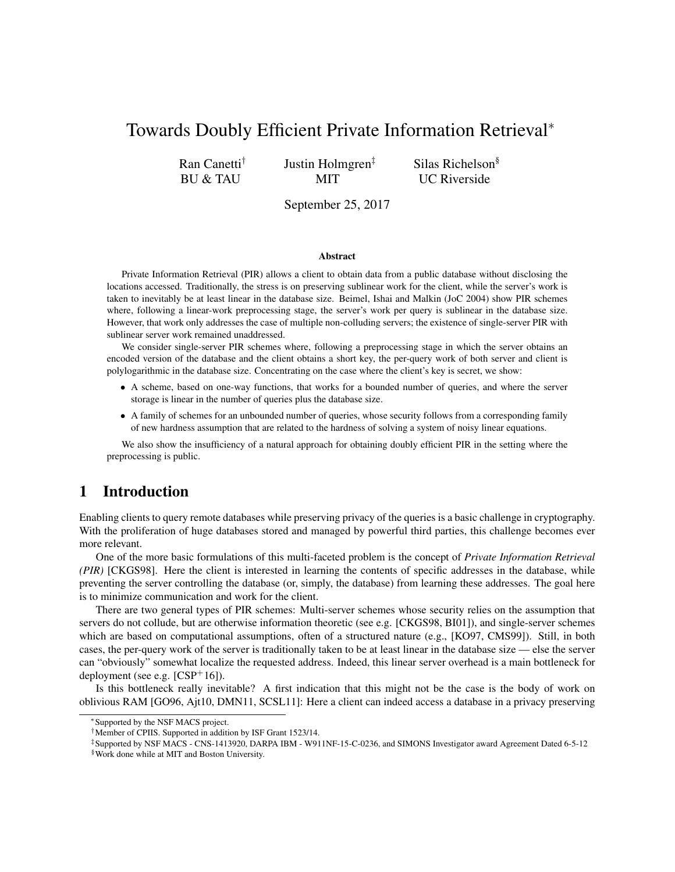# Towards Doubly Efficient Private Information Retrieval<sup>∗</sup>

Ran Canetti† BU & TAU

Justin Holmgren‡ **MIT** 

Silas Richelson§ UC Riverside

September 25, 2017

#### Abstract

Private Information Retrieval (PIR) allows a client to obtain data from a public database without disclosing the locations accessed. Traditionally, the stress is on preserving sublinear work for the client, while the server's work is taken to inevitably be at least linear in the database size. Beimel, Ishai and Malkin (JoC 2004) show PIR schemes where, following a linear-work preprocessing stage, the server's work per query is sublinear in the database size. However, that work only addresses the case of multiple non-colluding servers; the existence of single-server PIR with sublinear server work remained unaddressed.

We consider single-server PIR schemes where, following a preprocessing stage in which the server obtains an encoded version of the database and the client obtains a short key, the per-query work of both server and client is polylogarithmic in the database size. Concentrating on the case where the client's key is secret, we show:

- A scheme, based on one-way functions, that works for a bounded number of queries, and where the server storage is linear in the number of queries plus the database size.
- A family of schemes for an unbounded number of queries, whose security follows from a corresponding family of new hardness assumption that are related to the hardness of solving a system of noisy linear equations.

We also show the insufficiency of a natural approach for obtaining doubly efficient PIR in the setting where the preprocessing is public.

# 1 Introduction

Enabling clients to query remote databases while preserving privacy of the queries is a basic challenge in cryptography. With the proliferation of huge databases stored and managed by powerful third parties, this challenge becomes ever more relevant.

One of the more basic formulations of this multi-faceted problem is the concept of *Private Information Retrieval (PIR)* [\[CKGS98\]](#page-23-0). Here the client is interested in learning the contents of specific addresses in the database, while preventing the server controlling the database (or, simply, the database) from learning these addresses. The goal here is to minimize communication and work for the client.

There are two general types of PIR schemes: Multi-server schemes whose security relies on the assumption that servers do not collude, but are otherwise information theoretic (see e.g. [\[CKGS98,](#page-23-0) [BI01\]](#page-22-0)), and single-server schemes which are based on computational assumptions, often of a structured nature (e.g., [\[KO97,](#page-23-1) [CMS99\]](#page-23-2)). Still, in both cases, the per-query work of the server is traditionally taken to be at least linear in the database size — else the server can "obviously" somewhat localize the requested address. Indeed, this linear server overhead is a main bottleneck for deployment (see e.g.  $[CSP+16]$  $[CSP+16]$ ).

Is this bottleneck really inevitable? A first indication that this might not be the case is the body of work on oblivious RAM [\[GO96,](#page-23-4) [Ajt10,](#page-22-1) [DMN11,](#page-23-5) [SCSL11\]](#page-23-6): Here a client can indeed access a database in a privacy preserving

<sup>∗</sup>Supported by the NSF MACS project.

<sup>†</sup>Member of CPIIS. Supported in addition by ISF Grant 1523/14.

<sup>‡</sup>Supported by NSF MACS - CNS-1413920, DARPA IBM - W911NF-15-C-0236, and SIMONS Investigator award Agreement Dated 6-5-12

<sup>§</sup>Work done while at MIT and Boston University.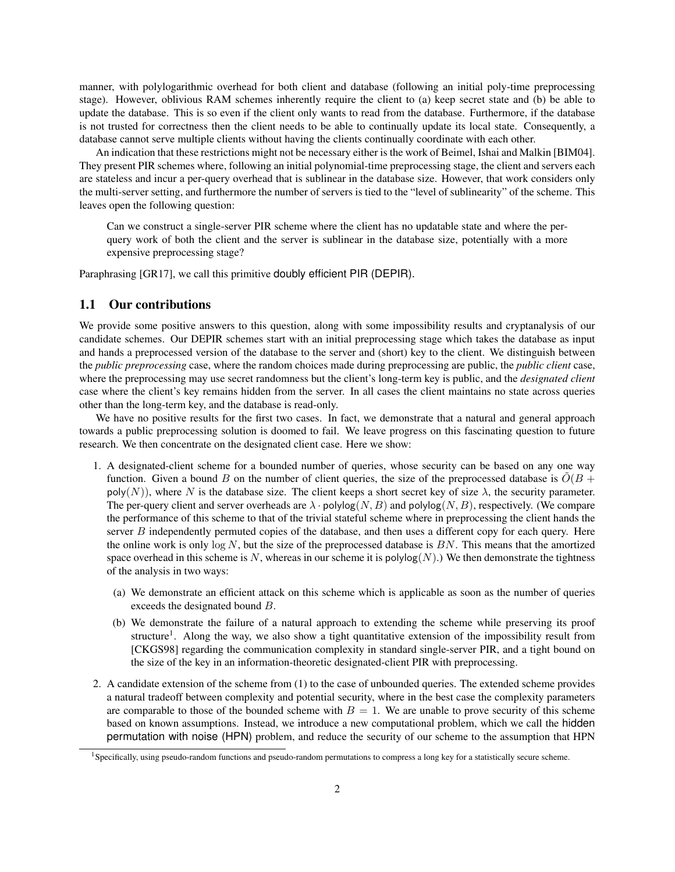manner, with polylogarithmic overhead for both client and database (following an initial poly-time preprocessing stage). However, oblivious RAM schemes inherently require the client to (a) keep secret state and (b) be able to update the database. This is so even if the client only wants to read from the database. Furthermore, if the database is not trusted for correctness then the client needs to be able to continually update its local state. Consequently, a database cannot serve multiple clients without having the clients continually coordinate with each other.

An indication that these restrictions might not be necessary either is the work of Beimel, Ishai and Malkin [\[BIM04\]](#page-22-2). They present PIR schemes where, following an initial polynomial-time preprocessing stage, the client and servers each are stateless and incur a per-query overhead that is sublinear in the database size. However, that work considers only the multi-server setting, and furthermore the number of servers is tied to the "level of sublinearity" of the scheme. This leaves open the following question:

Can we construct a single-server PIR scheme where the client has no updatable state and where the perquery work of both the client and the server is sublinear in the database size, potentially with a more expensive preprocessing stage?

Paraphrasing [\[GR17\]](#page-23-7), we call this primitive doubly efficient PIR (DEPIR).

#### 1.1 Our contributions

We provide some positive answers to this question, along with some impossibility results and cryptanalysis of our candidate schemes. Our DEPIR schemes start with an initial preprocessing stage which takes the database as input and hands a preprocessed version of the database to the server and (short) key to the client. We distinguish between the *public preprocessing* case, where the random choices made during preprocessing are public, the *public client* case, where the preprocessing may use secret randomness but the client's long-term key is public, and the *designated client* case where the client's key remains hidden from the server. In all cases the client maintains no state across queries other than the long-term key, and the database is read-only.

We have no positive results for the first two cases. In fact, we demonstrate that a natural and general approach towards a public preprocessing solution is doomed to fail. We leave progress on this fascinating question to future research. We then concentrate on the designated client case. Here we show:

- 1. A designated-client scheme for a bounded number of queries, whose security can be based on any one way function. Given a bound B on the number of client queries, the size of the preprocessed database is  $\hat{O}(B +$ poly(N)), where N is the database size. The client keeps a short secret key of size  $\lambda$ , the security parameter. The per-query client and server overheads are  $\lambda \cdot \text{polylog}(N, B)$  and  $\text{polylog}(N, B)$ , respectively. (We compare the performance of this scheme to that of the trivial stateful scheme where in preprocessing the client hands the server B independently permuted copies of the database, and then uses a different copy for each query. Here the online work is only  $\log N$ , but the size of the preprocessed database is  $BN$ . This means that the amortized space overhead in this scheme is N, whereas in our scheme it is  $polylog(N)$ .) We then demonstrate the tightness of the analysis in two ways:
	- (a) We demonstrate an efficient attack on this scheme which is applicable as soon as the number of queries exceeds the designated bound B.
	- (b) We demonstrate the failure of a natural approach to extending the scheme while preserving its proof structure<sup>[1](#page-1-0)</sup>. Along the way, we also show a tight quantitative extension of the impossibility result from [\[CKGS98\]](#page-23-0) regarding the communication complexity in standard single-server PIR, and a tight bound on the size of the key in an information-theoretic designated-client PIR with preprocessing.
- 2. A candidate extension of the scheme from (1) to the case of unbounded queries. The extended scheme provides a natural tradeoff between complexity and potential security, where in the best case the complexity parameters are comparable to those of the bounded scheme with  $B = 1$ . We are unable to prove security of this scheme based on known assumptions. Instead, we introduce a new computational problem, which we call the hidden permutation with noise (HPN) problem, and reduce the security of our scheme to the assumption that HPN

<span id="page-1-0"></span><sup>1</sup>Specifically, using pseudo-random functions and pseudo-random permutations to compress a long key for a statistically secure scheme.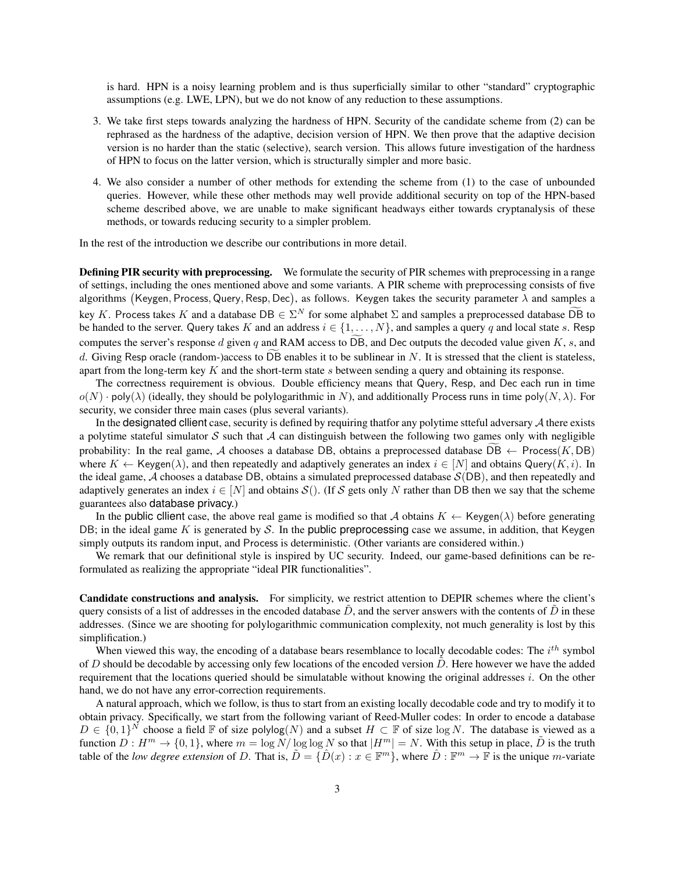is hard. HPN is a noisy learning problem and is thus superficially similar to other "standard" cryptographic assumptions (e.g. LWE, LPN), but we do not know of any reduction to these assumptions.

- 3. We take first steps towards analyzing the hardness of HPN. Security of the candidate scheme from (2) can be rephrased as the hardness of the adaptive, decision version of HPN. We then prove that the adaptive decision version is no harder than the static (selective), search version. This allows future investigation of the hardness of HPN to focus on the latter version, which is structurally simpler and more basic.
- 4. We also consider a number of other methods for extending the scheme from (1) to the case of unbounded queries. However, while these other methods may well provide additional security on top of the HPN-based scheme described above, we are unable to make significant headways either towards cryptanalysis of these methods, or towards reducing security to a simpler problem.

In the rest of the introduction we describe our contributions in more detail.

Defining PIR security with preprocessing. We formulate the security of PIR schemes with preprocessing in a range of settings, including the ones mentioned above and some variants. A PIR scheme with preprocessing consists of five algorithms (Keygen, Process, Query, Resp, Dec), as follows. Keygen takes the security parameter  $\lambda$  and samples a key K. Process takes K and a database  $DB \in \Sigma^N$  for some alphabet  $\Sigma$  and samples a preprocessed database DB to be handed to the server. Query takes K and an address  $i \in \{1, \ldots, N\}$ , and samples a query q and local state s. Resp computes the server's response d given q and RAM access to  $\widehat{DB}$ , and Dec outputs the decoded value given K, s, and d. Giving Resp oracle (random-)access to DB enables it to be sublinear in  $N$ . It is stressed that the client is stateless, apart from the long-term key  $K$  and the short-term state  $s$  between sending a query and obtaining its response.

The correctness requirement is obvious. Double efficiency means that Query, Resp, and Dec each run in time  $o(N)$  · poly( $\lambda$ ) (ideally, they should be polylogarithmic in N), and additionally Process runs in time poly( $N$ ,  $\lambda$ ). For security, we consider three main cases (plus several variants).

In the designated cllient case, security is defined by requiring thatfor any polytime stteful adversary  $A$  there exists a polytime stateful simulator  $S$  such that  $A$  can distinguish between the following two games only with negligible probability: In the real game, A chooses a database DB, obtains a preprocessed database  $\overrightarrow{DB} \leftarrow$  Process(K, DB) where  $K \leftarrow \mathsf{Keygen}(\lambda)$ , and then repeatedly and adaptively generates an index  $i \in [N]$  and obtains Query $(K, i)$ . In the ideal game, A chooses a database DB, obtains a simulated preprocessed database  $S(DB)$ , and then repeatedly and adaptively generates an index  $i \in [N]$  and obtains  $\mathcal{S}()$ . (If S gets only N rather than DB then we say that the scheme guarantees also database privacy.)

In the public cllient case, the above real game is modified so that A obtains  $K \leftarrow \text{Keygen}(\lambda)$  before generating DB; in the ideal game K is generated by S. In the public preprocessing case we assume, in addition, that Keygen simply outputs its random input, and Process is deterministic. (Other variants are considered within.)

We remark that our definitional style is inspired by UC security. Indeed, our game-based definitions can be reformulated as realizing the appropriate "ideal PIR functionalities".

Candidate constructions and analysis. For simplicity, we restrict attention to DEPIR schemes where the client's query consists of a list of addresses in the encoded database  $\bar{D}$ , and the server answers with the contents of  $\bar{D}$  in these addresses. (Since we are shooting for polylogarithmic communication complexity, not much generality is lost by this simplification.)

When viewed this way, the encoding of a database bears resemblance to locally decodable codes: The  $i^{th}$  symbol of D should be decodable by accessing only few locations of the encoded version D. Here however we have the added requirement that the locations queried should be simulatable without knowing the original addresses  $i$ . On the other hand, we do not have any error-correction requirements.

A natural approach, which we follow, is thus to start from an existing locally decodable code and try to modify it to obtain privacy. Specifically, we start from the following variant of Reed-Muller codes: In order to encode a database  $D \in \{0,1\}^N$  choose a field  $\mathbb F$  of size polylog(N) and a subset  $H \subset \mathbb F$  of size log N. The database is viewed as a function  $D: H^m \to \{0,1\}$ , where  $m = \log N / \log \log N$  so that  $|H^m| = N$ . With this setup in place,  $\tilde{D}$  is the truth table of the *low degree extension* of D. That is,  $\tilde{D} = \{ \hat{D}(x) : x \in \mathbb{F}^m \}$ , where  $\hat{D} : \mathbb{F}^m \to \mathbb{F}$  is the unique m-variate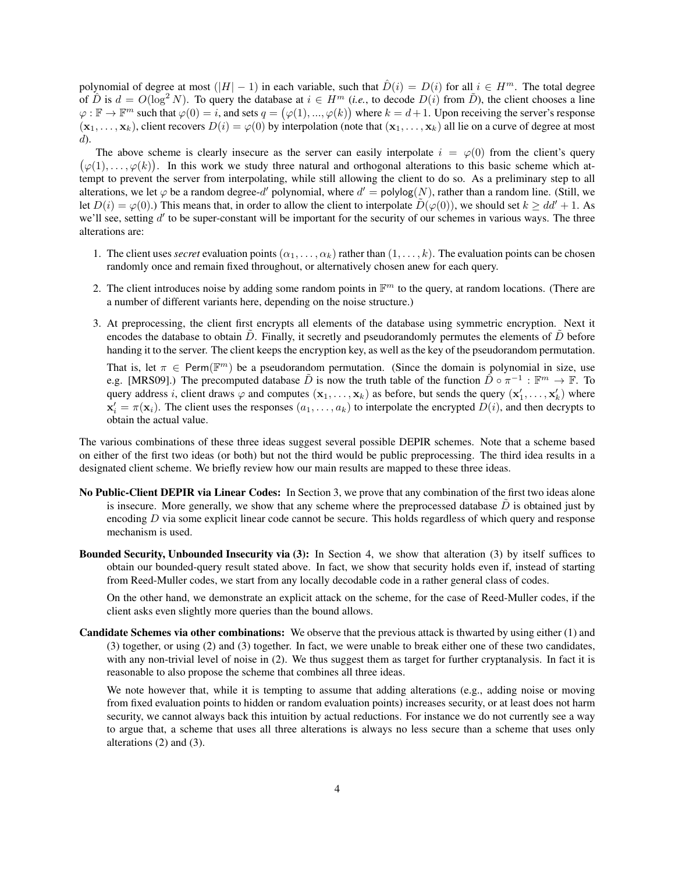polynomial of degree at most  $(|H| - 1)$  in each variable, such that  $\hat{D}(i) = D(i)$  for all  $i \in H^m$ . The total degree of  $\hat{D}$  is  $d = O(\log^2 N)$ . To query the database at  $i \in H^m$  (*i.e.*, to decode  $D(i)$  from  $\tilde{D}$ ), the client chooses a line  $\varphi : \mathbb{F} \to \mathbb{F}^m$  such that  $\varphi(0) = i$ , and sets  $q = (\varphi(1), ..., \varphi(k))$  where  $k = d+1$ . Upon receiving the server's response  $(\mathbf{x}_1, \dots, \mathbf{x}_k)$ , client recovers  $D(i) = \varphi(0)$  by interpolation (note that  $(\mathbf{x}_1, \dots, \mathbf{x}_k)$  all lie on a curve of degree at most  $d$ ).

The above scheme is clearly insecure as the server can easily interpolate  $i = \varphi(0)$  from the client's query  $(\varphi(1), \ldots, \varphi(k))$ . In this work we study three natural and orthogonal alterations to this basic scheme which attempt to prevent the server from interpolating, while still allowing the client to do so. As a preliminary step to all alterations, we let  $\varphi$  be a random degree-d' polynomial, where  $d' = \text{polylog}(N)$ , rather than a random line. (Still, we let  $D(i) = \varphi(0)$ .) This means that, in order to allow the client to interpolate  $\tilde{D}(\varphi(0))$ , we should set  $k \geq dd' + 1$ . As we'll see, setting  $d'$  to be super-constant will be important for the security of our schemes in various ways. The three alterations are:

- 1. The client uses *secret* evaluation points  $(\alpha_1, \ldots, \alpha_k)$  rather than  $(1, \ldots, k)$ . The evaluation points can be chosen randomly once and remain fixed throughout, or alternatively chosen anew for each query.
- 2. The client introduces noise by adding some random points in  $\mathbb{F}^m$  to the query, at random locations. (There are a number of different variants here, depending on the noise structure.)
- 3. At preprocessing, the client first encrypts all elements of the database using symmetric encryption. Next it encodes the database to obtain  $\ddot{D}$ . Finally, it secretly and pseudorandomly permutes the elements of  $\ddot{D}$  before handing it to the server. The client keeps the encryption key, as well as the key of the pseudorandom permutation.

That is, let  $\pi \in \text{Perm}(\mathbb{F}^m)$  be a pseudorandom permutation. (Since the domain is polynomial in size, use e.g. [\[MRS09\]](#page-23-8).) The precomputed database  $\tilde{D}$  is now the truth table of the function  $\hat{D} \circ \pi^{-1} : \mathbb{F}^m \to \mathbb{F}$ . To query address *i*, client draws  $\varphi$  and computes  $(x_1, \ldots, x_k)$  as before, but sends the query  $(x'_1, \ldots, x'_k)$  where  $\mathbf{x}'_i = \pi(\mathbf{x}_i)$ . The client uses the responses  $(a_1, \dots, a_k)$  to interpolate the encrypted  $D(i)$ , and then decrypts to obtain the actual value.

The various combinations of these three ideas suggest several possible DEPIR schemes. Note that a scheme based on either of the first two ideas (or both) but not the third would be public preprocessing. The third idea results in a designated client scheme. We briefly review how our main results are mapped to these three ideas.

- No Public-Client DEPIR via Linear Codes: In Section [3,](#page-7-0) we prove that any combination of the first two ideas alone is insecure. More generally, we show that any scheme where the preprocessed database  $D$  is obtained just by encoding  $D$  via some explicit linear code cannot be secure. This holds regardless of which query and response mechanism is used.
- Bounded Security, Unbounded Insecurity via (3): In Section [4,](#page-8-0) we show that alteration (3) by itself suffices to obtain our bounded-query result stated above. In fact, we show that security holds even if, instead of starting from Reed-Muller codes, we start from any locally decodable code in a rather general class of codes.

On the other hand, we demonstrate an explicit attack on the scheme, for the case of Reed-Muller codes, if the client asks even slightly more queries than the bound allows.

Candidate Schemes via other combinations: We observe that the previous attack is thwarted by using either (1) and (3) together, or using (2) and (3) together. In fact, we were unable to break either one of these two candidates, with any non-trivial level of noise in (2). We thus suggest them as target for further cryptanalysis. In fact it is reasonable to also propose the scheme that combines all three ideas.

We note however that, while it is tempting to assume that adding alterations (e.g., adding noise or moving from fixed evaluation points to hidden or random evaluation points) increases security, or at least does not harm security, we cannot always back this intuition by actual reductions. For instance we do not currently see a way to argue that, a scheme that uses all three alterations is always no less secure than a scheme that uses only alterations (2) and (3).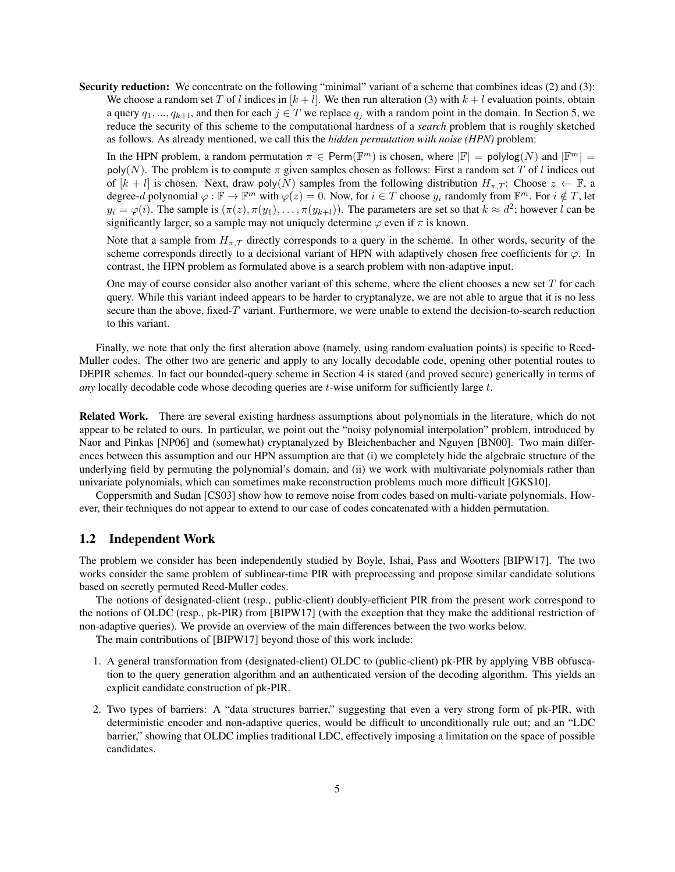Security reduction: We concentrate on the following "minimal" variant of a scheme that combines ideas (2) and (3): We choose a random set T of l indices in  $[k+l]$ . We then run alteration (3) with  $k+l$  evaluation points, obtain a query  $q_1, ..., q_{k+l}$ , and then for each  $j \in T$  we replace  $q_j$  with a random point in the domain. In Section [5,](#page-17-0) we reduce the security of this scheme to the computational hardness of a *search* problem that is roughly sketched as follows. As already mentioned, we call this the *hidden permutation with noise (HPN)* problem:

In the HPN problem, a random permutation  $\pi \in \text{Perm}(\mathbb{F}^m)$  is chosen, where  $|\mathbb{F}| = \text{polylog}(N)$  and  $|\mathbb{F}^m| =$ poly(N). The problem is to compute  $\pi$  given samples chosen as follows: First a random set T of l indices out of  $[k + l]$  is chosen. Next, draw poly $(N)$  samples from the following distribution  $H_{\pi,T}$ : Choose  $z \leftarrow \mathbb{F}$ , a degree-d polynomial  $\varphi : \mathbb{F} \to \mathbb{F}^m$  with  $\varphi(z) = 0$ . Now, for  $i \in T$  choose  $y_i$  randomly from  $\mathbb{F}^m$ . For  $i \notin T$ , let  $y_i = \varphi(i)$ . The sample is  $(\pi(z), \pi(y_1), \ldots, \pi(y_{k+l}))$ . The parameters are set so that  $k \approx d^2$ ; however l can be significantly larger, so a sample may not uniquely determine  $\varphi$  even if  $\pi$  is known.

Note that a sample from  $H_{\pi,T}$  directly corresponds to a query in the scheme. In other words, security of the scheme corresponds directly to a decisional variant of HPN with adaptively chosen free coefficients for  $\varphi$ . In contrast, the HPN problem as formulated above is a search problem with non-adaptive input.

One may of course consider also another variant of this scheme, where the client chooses a new set  $T$  for each query. While this variant indeed appears to be harder to cryptanalyze, we are not able to argue that it is no less secure than the above, fixed-T variant. Furthermore, we were unable to extend the decision-to-search reduction to this variant.

Finally, we note that only the first alteration above (namely, using random evaluation points) is specific to Reed-Muller codes. The other two are generic and apply to any locally decodable code, opening other potential routes to DEPIR schemes. In fact our bounded-query scheme in Section [4](#page-8-0) is stated (and proved secure) generically in terms of *any* locally decodable code whose decoding queries are *t*-wise uniform for sufficiently large *t*.

Related Work. There are several existing hardness assumptions about polynomials in the literature, which do not appear to be related to ours. In particular, we point out the "noisy polynomial interpolation" problem, introduced by Naor and Pinkas [\[NP06\]](#page-23-9) and (somewhat) cryptanalyzed by Bleichenbacher and Nguyen [\[BN00\]](#page-23-10). Two main differences between this assumption and our HPN assumption are that (i) we completely hide the algebraic structure of the underlying field by permuting the polynomial's domain, and (ii) we work with multivariate polynomials rather than univariate polynomials, which can sometimes make reconstruction problems much more difficult [\[GKS10\]](#page-23-11).

Coppersmith and Sudan [\[CS03\]](#page-23-12) show how to remove noise from codes based on multi-variate polynomials. However, their techniques do not appear to extend to our case of codes concatenated with a hidden permutation.

#### 1.2 Independent Work

The problem we consider has been independently studied by Boyle, Ishai, Pass and Wootters [\[BIPW17\]](#page-23-13). The two works consider the same problem of sublinear-time PIR with preprocessing and propose similar candidate solutions based on secretly permuted Reed-Muller codes.

The notions of designated-client (resp., public-client) doubly-efficient PIR from the present work correspond to the notions of OLDC (resp., pk-PIR) from [\[BIPW17\]](#page-23-13) (with the exception that they make the additional restriction of non-adaptive queries). We provide an overview of the main differences between the two works below.

The main contributions of [\[BIPW17\]](#page-23-13) beyond those of this work include:

- 1. A general transformation from (designated-client) OLDC to (public-client) pk-PIR by applying VBB obfuscation to the query generation algorithm and an authenticated version of the decoding algorithm. This yields an explicit candidate construction of pk-PIR.
- 2. Two types of barriers: A "data structures barrier," suggesting that even a very strong form of pk-PIR, with deterministic encoder and non-adaptive queries, would be difficult to unconditionally rule out; and an "LDC barrier," showing that OLDC implies traditional LDC, effectively imposing a limitation on the space of possible candidates.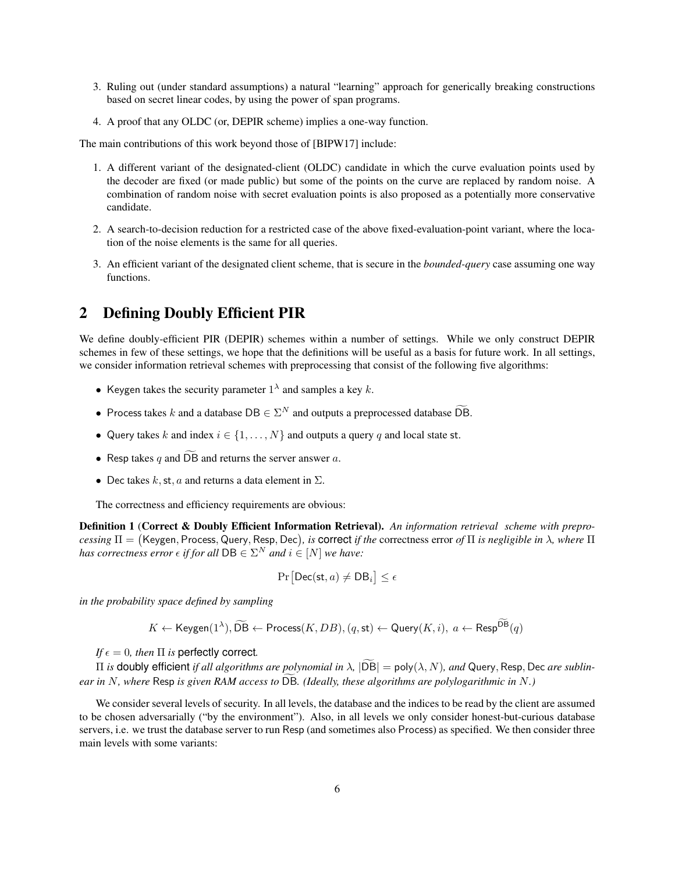- 3. Ruling out (under standard assumptions) a natural "learning" approach for generically breaking constructions based on secret linear codes, by using the power of span programs.
- 4. A proof that any OLDC (or, DEPIR scheme) implies a one-way function.

The main contributions of this work beyond those of [\[BIPW17\]](#page-23-13) include:

- 1. A different variant of the designated-client (OLDC) candidate in which the curve evaluation points used by the decoder are fixed (or made public) but some of the points on the curve are replaced by random noise. A combination of random noise with secret evaluation points is also proposed as a potentially more conservative candidate.
- 2. A search-to-decision reduction for a restricted case of the above fixed-evaluation-point variant, where the location of the noise elements is the same for all queries.
- 3. An efficient variant of the designated client scheme, that is secure in the *bounded-query* case assuming one way functions.

# <span id="page-5-0"></span>2 Defining Doubly Efficient PIR

We define doubly-efficient PIR (DEPIR) schemes within a number of settings. While we only construct DEPIR schemes in few of these settings, we hope that the definitions will be useful as a basis for future work. In all settings, we consider information retrieval schemes with preprocessing that consist of the following five algorithms:

- Keygen takes the security parameter  $1^{\lambda}$  and samples a key k.
- Process takes k and a database  $DB \in \Sigma^N$  and outputs a preprocessed database DB.
- Query takes k and index  $i \in \{1, ..., N\}$  and outputs a query q and local state st.
- Resp takes  $q$  and DB and returns the server answer  $a$ .
- Dec takes k, st, a and returns a data element in  $\Sigma$ .

The correctness and efficiency requirements are obvious:

<span id="page-5-1"></span>Definition 1 (Correct & Doubly Efficient Information Retrieval). *An information retrieval scheme with preprocessing* Π = Keygen, Process, Query, Resp, Dec *, is* correct *if the* correctness error *of* Π *is negligible in* λ*, where* Π *has correctness error*  $\epsilon$  *if for all* DB  $\in \Sigma^N$  *and*  $i \in [N]$  *we have:* 

$$
\Pr[\mathsf{Dec}(\mathsf{st}, a) \neq \mathsf{DB}_i] \leq \epsilon
$$

*in the probability space defined by sampling*

$$
K \leftarrow \mathsf{Keygen}(1^{\lambda}), \mathsf{DB} \leftarrow \mathsf{Process}(K, DB), (q, \mathsf{st}) \leftarrow \mathsf{Query}(K, i), \ a \leftarrow \mathsf{Resp}^{\mathsf{DB}}(q)
$$

*If*  $\epsilon = 0$ *, then*  $\Pi$  *is* perfectly correct.

 $\Pi$  *is* doubly efficient *if all algorithms are polynomial in*  $\lambda$ ,  $|\widetilde{DB}| = poly(\lambda, N)$ *, and* Query, Resp, Dec *are sublinear in* N, where Resp is given RAM access to DB. (Ideally, these algorithms are polylogarithmic in N.)

We consider several levels of security. In all levels, the database and the indices to be read by the client are assumed to be chosen adversarially ("by the environment"). Also, in all levels we only consider honest-but-curious database servers, i.e. we trust the database server to run Resp (and sometimes also Process) as specified. We then consider three main levels with some variants: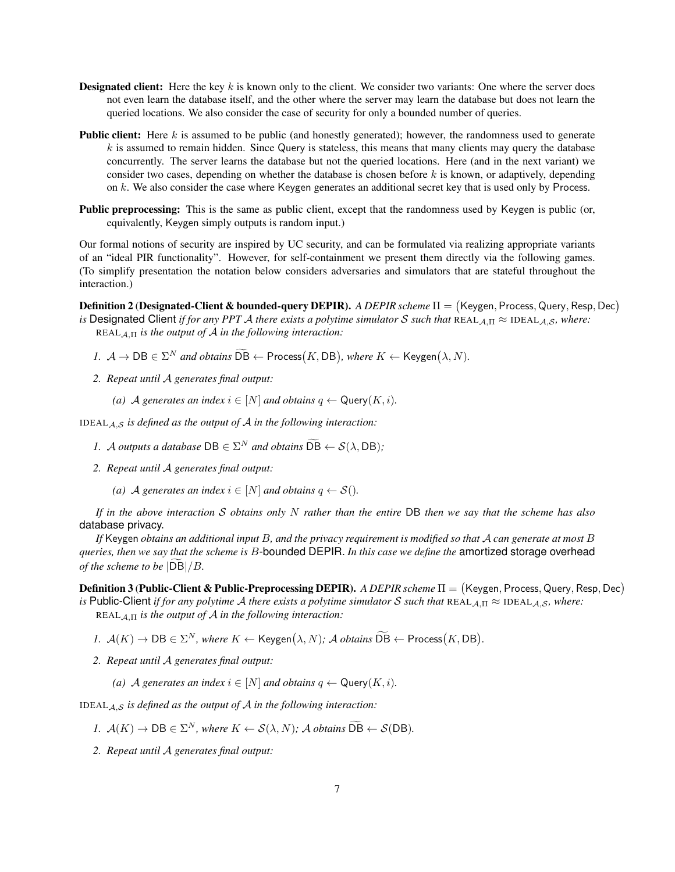- **Designated client:** Here the key k is known only to the client. We consider two variants: One where the server does not even learn the database itself, and the other where the server may learn the database but does not learn the queried locations. We also consider the case of security for only a bounded number of queries.
- **Public client:** Here k is assumed to be public (and honestly generated); however, the randomness used to generate  $k$  is assumed to remain hidden. Since Query is stateless, this means that many clients may query the database concurrently. The server learns the database but not the queried locations. Here (and in the next variant) we consider two cases, depending on whether the database is chosen before  $k$  is known, or adaptively, depending on  $k$ . We also consider the case where Keygen generates an additional secret key that is used only by Process.
- Public preprocessing: This is the same as public client, except that the randomness used by Keygen is public (or, equivalently, Keygen simply outputs is random input.)

Our formal notions of security are inspired by UC security, and can be formulated via realizing appropriate variants of an "ideal PIR functionality". However, for self-containment we present them directly via the following games. (To simplify presentation the notation below considers adversaries and simulators that are stateful throughout the interaction.)

Definition 2 (Designated-Client & bounded-query DEPIR). *A DEPIR scheme* Π = Keygen, Process, Query, Resp, Dec *is* Designated Client *if for any PPT A there exists a polytime simulator* S such that  $REAL_{A,\Pi} \approx IDEAL_{A,S}$ *, where:* REALA,<sup>Π</sup> *is the output of* A *in the following interaction:*

- *1.*  $A \rightarrow DB \in \Sigma^N$  *and obtains*  $\overline{DB} \leftarrow \text{Process}(K, DB)$ *, where*  $K \leftarrow \text{Keygen}(\lambda, N)$ *.*
- *2. Repeat until* A *generates final output:*

*(a) A* generates an index  $i \in [N]$  and obtains  $q \leftarrow$  Query $(K, i)$ .

IDEALA,<sup>S</sup> *is defined as the output of* A *in the following interaction:*

- *1. A outputs a database*  $DB \in \Sigma^N$  *and obtains*  $DB \leftarrow S(\lambda, DB)$ *;*
- *2. Repeat until* A *generates final output:*
	- *(a)* A generates an index  $i \in [N]$  and obtains  $q \leftarrow S$  ().

*If in the above interaction* S *obtains only* N *rather than the entire* DB *then we say that the scheme has also* database privacy.

*If* Keygen *obtains an additional input* B*, and the privacy requirement is modified so that* A *can generate at most* B *queries, then we say that the scheme is* B-bounded DEPIR. *In this case we define the* amortized storage overhead *of the scheme to be*  $|\overrightarrow{DB}|/B$ *.* 

Definition 3 (Public-Client & Public-Preprocessing DEPIR). *A DEPIR scheme* Π = Keygen, Process, Query, Resp, Dec *is* Public-Client *if for any polytime* A *there exists a polytime simulator* S *such that*  $REAL_{A,\Pi} \approx IDEAL_{A,S}$ *, where:* REALA,<sup>Π</sup> *is the output of* A *in the following interaction:*

*1.*  $A(K) \to \text{DB} \in \Sigma^N$ , where  $K \leftarrow \text{Keygen}(\lambda, N)$ ; A obtains  $\text{DB} \leftarrow \text{Process}(K, \text{DB})$ .

*2. Repeat until* A *generates final output:*

*(a) A* generates an index  $i \in [N]$  and obtains  $q \leftarrow$  Query $(K, i)$ .

IDEALA,<sup>S</sup> *is defined as the output of* A *in the following interaction:*

- *1.*  $A(K) \rightarrow DB \in \Sigma^N$ , where  $K \leftarrow S(\lambda, N)$ ; A obtains  $\overline{DB} \leftarrow S(DB)$ .
- *2. Repeat until* A *generates final output:*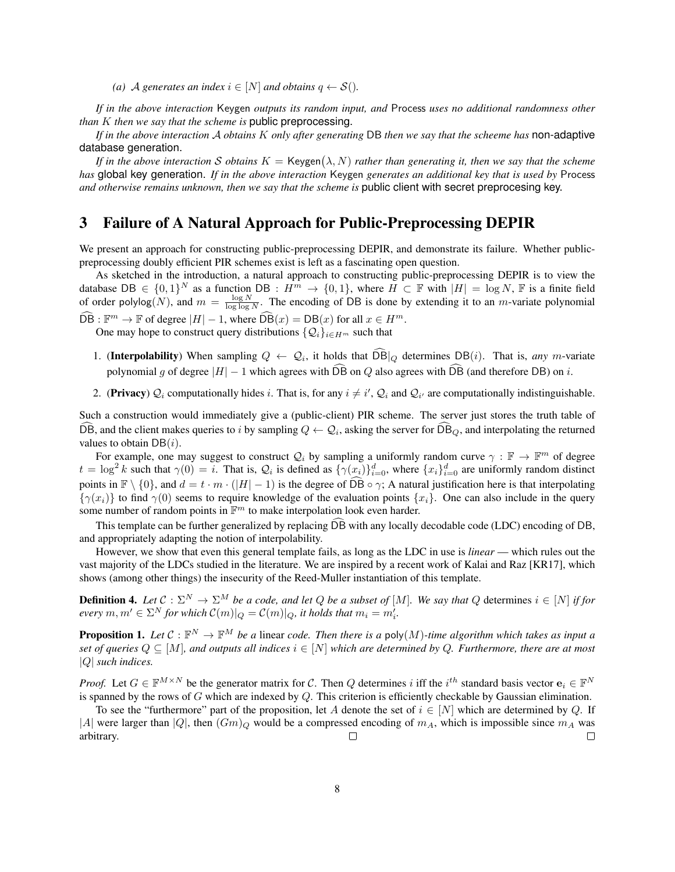*(a)* A generates an index  $i \in [N]$  and obtains  $q \leftarrow S$ .

*If in the above interaction* Keygen *outputs its random input, and* Process *uses no additional randomness other than* K *then we say that the scheme is* public preprocessing.

*If in the above interaction* A *obtains* K *only after generating* DB *then we say that the scheeme has* non-adaptive database generation.

*If in the above interaction S obtains*  $K = \text{Keygen}(\lambda, N)$  *rather than generating it, then we say that the scheme has* global key generation. *If in the above interaction* Keygen *generates an additional key that is used by* Process *and otherwise remains unknown, then we say that the scheme is* public client with secret preprocesing key.

# <span id="page-7-0"></span>3 Failure of A Natural Approach for Public-Preprocessing DEPIR

We present an approach for constructing public-preprocessing DEPIR, and demonstrate its failure. Whether publicpreprocessing doubly efficient PIR schemes exist is left as a fascinating open question.

As sketched in the introduction, a natural approach to constructing public-preprocessing DEPIR is to view the database DB  $\in \{0,1\}^N$  as a function DB :  $H^m \to \{0,1\}$ , where  $H \subset \mathbb{F}$  with  $|H| = \log N$ ,  $\mathbb{F}$  is a finite field of order polylog(N), and  $m = \frac{\log N}{\log \log N}$ . The encoding of DB is done by extending it to an m-variate polynomial  $\widehat{\text{DB}} : \mathbb{F}^m \to \mathbb{F}$  of degree  $|H| - 1$ , where  $\widehat{\text{DB}}(x) = \text{DB}(x)$  for all  $x \in H^m$ .

One may hope to construct query distributions  $\{Q_i\}_{i\in H^m}$  such that

- 1. (**Interpolability**) When sampling  $Q \leftarrow Q_i$ , it holds that  $DB|_Q$  determines  $DB(i)$ . That is, *any* m-variate polynomial q of degree  $|H| - 1$  which agrees with DB on Q also agrees with DB (and therefore DB) on i.
- 2. (Privacy)  $Q_i$  computationally hides i. That is, for any  $i \neq i'$ ,  $Q_i$  and  $Q_{i'}$  are computationally indistinguishable.

Such a construction would immediately give a (public-client) PIR scheme. The server just stores the truth table of DB, and the client makes queries to i by sampling  $Q \leftarrow Q_i$ , asking the server for  $DB_Q$ , and interpolating the returned values to obtain  $DB(i)$ .

For example, one may suggest to construct  $Q_i$  by sampling a uniformly random curve  $\gamma : \mathbb{F} \to \mathbb{F}^m$  of degree  $t = \log^2 k$  such that  $\gamma(0) = i$ . That is,  $\mathcal{Q}_i$  is defined as  $\{\gamma(x_i)\}_{i=0}^d$ , where  $\{x_i\}_{i=0}^d$  are uniformly random distinct points in  $\mathbb{F} \setminus \{0\}$ , and  $d = t \cdot m \cdot (|H| - 1)$  is the degree of  $\widehat{DB} \circ \gamma$ ; A natural justification here is that interpolating  $\{\gamma(x_i)\}\;$  to find  $\gamma(0)$  seems to require knowledge of the evaluation points  $\{x_i\}\;$ . One can also include in the query some number of random points in  $\mathbb{F}^m$  to make interpolation look even harder.

This template can be further generalized by replacing DB with any locally decodable code (LDC) encoding of DB, and appropriately adapting the notion of interpolability.

However, we show that even this general template fails, as long as the LDC in use is *linear* — which rules out the vast majority of the LDCs studied in the literature. We are inspired by a recent work of Kalai and Raz [\[KR17\]](#page-23-14), which shows (among other things) the insecurity of the Reed-Muller instantiation of this template.

**Definition 4.** Let  $C : \Sigma^N \to \Sigma^M$  be a code, and let Q be a subset of [M]. We say that Q determines  $i \in [N]$  if for  $\mathit{every}\ m,m'\in \Sigma^N$  for which  $\mathcal{C}(m)|_Q=\mathcal{C}(m)|_Q,$  it holds that  $m_i=m'_i.$ 

**Proposition 1.** Let  $C : \mathbb{F}^N \to \mathbb{F}^M$  be a linear code. Then there is a poly $(M)$ -time algorithm which takes as input a *set of queries* Q ⊆ [M]*, and outputs all indices* i ∈ [N] *which are determined by* Q*. Furthermore, there are at most* |Q| *such indices.*

*Proof.* Let  $G \in \mathbb{F}^{M \times N}$  be the generator matrix for C. Then Q determines i iff the i<sup>th</sup> standard basis vector  $e_i \in \mathbb{F}^N$ is spanned by the rows of  $G$  which are indexed by  $Q$ . This criterion is efficiently checkable by Gaussian elimination.

To see the "furthermore" part of the proposition, let A denote the set of  $i \in [N]$  which are determined by Q. If |A| were larger than |Q|, then  $(Gm)_{\mathcal{O}}$  would be a compressed encoding of  $m_A$ , which is impossible since  $m_A$  was arbitrary.  $\Box$  $\Box$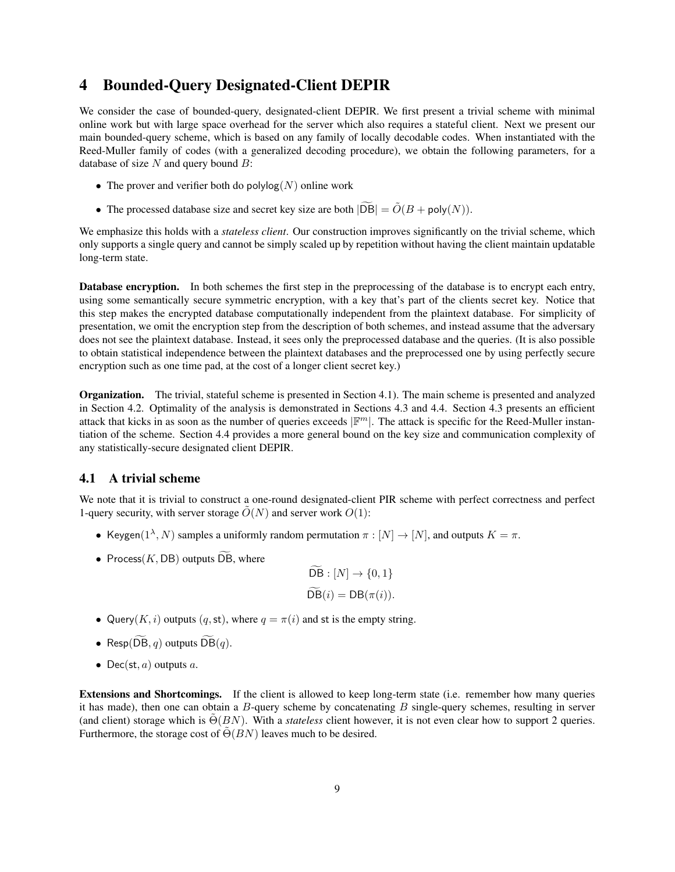## <span id="page-8-0"></span>4 Bounded-Query Designated-Client DEPIR

We consider the case of bounded-query, designated-client DEPIR. We first present a trivial scheme with minimal online work but with large space overhead for the server which also requires a stateful client. Next we present our main bounded-query scheme, which is based on any family of locally decodable codes. When instantiated with the Reed-Muller family of codes (with a generalized decoding procedure), we obtain the following parameters, for a database of size  $N$  and query bound  $B$ :

- The prover and verifier both do polylog $(N)$  online work
- The processed database size and secret key size are both  $|\widetilde{DB}| = \widetilde{O}(B + \text{poly}(N)).$

We emphasize this holds with a *stateless client*. Our construction improves significantly on the trivial scheme, which only supports a single query and cannot be simply scaled up by repetition without having the client maintain updatable long-term state.

Database encryption. In both schemes the first step in the preprocessing of the database is to encrypt each entry, using some semantically secure symmetric encryption, with a key that's part of the clients secret key. Notice that this step makes the encrypted database computationally independent from the plaintext database. For simplicity of presentation, we omit the encryption step from the description of both schemes, and instead assume that the adversary does not see the plaintext database. Instead, it sees only the preprocessed database and the queries. (It is also possible to obtain statistical independence between the plaintext databases and the preprocessed one by using perfectly secure encryption such as one time pad, at the cost of a longer client secret key.)

Organization. The trivial, stateful scheme is presented in Section [4.1\)](#page-8-1). The main scheme is presented and analyzed in Section [4.2.](#page-9-0) Optimality of the analysis is demonstrated in Sections [4.3](#page-13-0) and [4.4.](#page-15-0) Section [4.3](#page-13-0) presents an efficient attack that kicks in as soon as the number of queries exceeds  $|\mathbb{F}^m|$ . The attack is specific for the Reed-Muller instantiation of the scheme. Section [4.4](#page-15-0) provides a more general bound on the key size and communication complexity of any statistically-secure designated client DEPIR.

#### <span id="page-8-1"></span>4.1 A trivial scheme

We note that it is trivial to construct a one-round designated-client PIR scheme with perfect correctness and perfect 1-query security, with server storage  $\tilde{O}(N)$  and server work  $O(1)$ :

- Keygen( $1^{\lambda}$ , N) samples a uniformly random permutation  $\pi : [N] \to [N]$ , and outputs  $K = \pi$ .
- Process $(K, DB)$  outputs  $\widetilde{DB}$ , where

$$
\widetilde{\mathsf{DB}} : [N] \to \{0, 1\}
$$

$$
\widetilde{\mathsf{DB}}(i) = \mathsf{DB}(\pi(i)).
$$

- Query(K, i) outputs (q, st), where  $q = \pi(i)$  and st is the empty string.
- Resp( $\widetilde{DB}$ , q) outputs  $\widetilde{DB}(q)$ .
- Dec(st,  $a$ ) outputs  $a$ .

Extensions and Shortcomings. If the client is allowed to keep long-term state (i.e. remember how many queries it has made), then one can obtain a  $B$ -query scheme by concatenating  $B$  single-query schemes, resulting in server (and client) storage which is  $\tilde{\Theta}(BN)$ . With a *stateless* client however, it is not even clear how to support 2 queries. Furthermore, the storage cost of  $\tilde{\Theta}(BN)$  leaves much to be desired.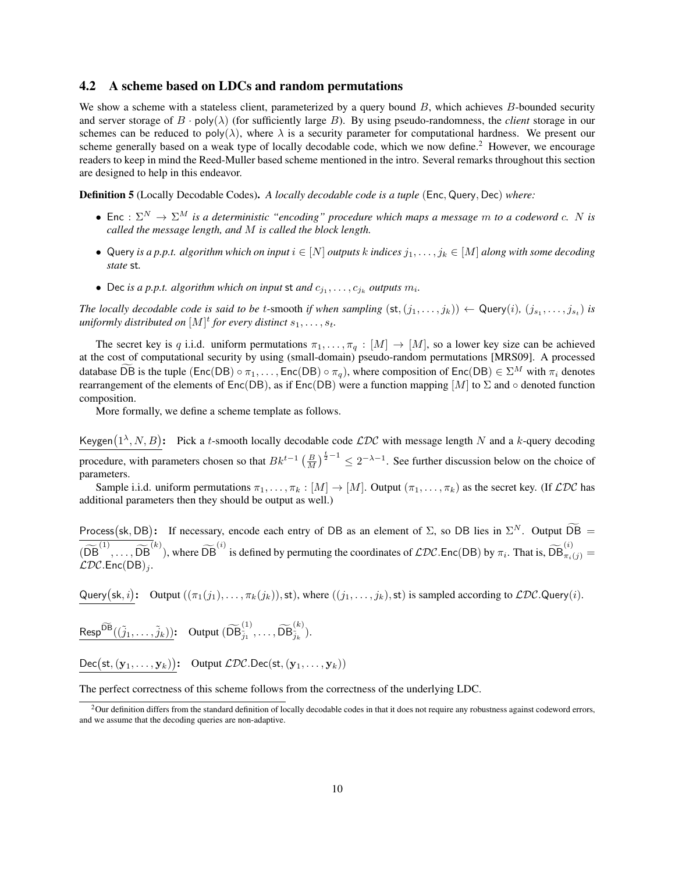#### <span id="page-9-0"></span>4.2 A scheme based on LDCs and random permutations

We show a scheme with a stateless client, parameterized by a query bound  $B$ , which achieves  $B$ -bounded security and server storage of  $B \cdot \text{poly}(\lambda)$  (for sufficiently large B). By using pseudo-randomness, the *client* storage in our schemes can be reduced to poly( $\lambda$ ), where  $\lambda$  is a security parameter for computational hardness. We present our scheme generally based on a weak type of locally decodable code, which we now define.<sup>[2](#page-9-1)</sup> However, we encourage readers to keep in mind the Reed-Muller based scheme mentioned in the intro. Several remarks throughout this section are designed to help in this endeavor.

Definition 5 (Locally Decodable Codes). *A locally decodable code is a tuple* (Enc, Query, Dec) *where:*

- Enc :  $\Sigma^N \to \Sigma^M$  *is a deterministic "encoding" procedure which maps a message m to a codeword c. N is called the message length, and* M *is called the block length.*
- Query *is a p.p.t. algorithm which on input*  $i \in [N]$  *outputs*  $k$  *indices*  $j_1, \ldots, j_k \in [M]$  *along with some decoding state* st*.*
- Dec *is a p.p.t. algorithm which on input* st *and*  $c_{j_1}, \ldots, c_{j_k}$  *outputs*  $m_i$ *.*

The locally decodable code is said to be t-smooth if when sampling  $(\textsf{st},(j_1,\ldots,j_k))\leftarrow \textsf{Query}(i)$ ,  $(j_{s_1},\ldots,j_{s_t})$  is uniformly distributed on  $[M]^t$  for every distinct  $s_1, \ldots, s_t$ .

The secret key is q i.i.d. uniform permutations  $\pi_1, \ldots, \pi_q : [M] \to [M]$ , so a lower key size can be achieved at the cost of computational security by using (small-domain) pseudo-random permutations [\[MRS09\]](#page-23-8). A processed database DB is the tuple (Enc(DB) ∘  $\pi_1, \ldots$ , Enc(DB) ∘  $\pi_q$ ), where composition of Enc(DB) ∈  $\Sigma^M$  with  $\pi_i$  denotes rearrangement of the elements of Enc(DB), as if Enc(DB) were a function mapping  $[M]$  to  $\Sigma$  and  $\circ$  denoted function composition.

More formally, we define a scheme template as follows.

Keygen $(1^{\lambda}, N, B)$ : Pick a t-smooth locally decodable code  $\mathcal{LDC}$  with message length N and a k-query decoding procedure, with parameters chosen so that  $Bk^{t-1} \left(\frac{B}{M}\right)^{\frac{t}{2}-1} \leq 2^{-\lambda-1}$ . See further discussion below on the choice of parameters.

Sample i.i.d. uniform permutations  $\pi_1, \ldots, \pi_k : [M] \to [M]$ . Output  $(\pi_1, \ldots, \pi_k)$  as the secret key. (If  $\mathcal{LDC}$  has additional parameters then they should be output as well.)

Process(sk, DB): If necessary, encode each entry of DB as an element of  $\Sigma$ , so DB lies in  $\Sigma^N$ . Output DB =  $(\widetilde{DB}^{(1)}, \ldots, \widetilde{DB}^{(k)})$ , where  $\widetilde{DB}^{(i)}$  is defined by permuting the coordinates of  $\mathcal{LDC}$ . Enc(DB) by  $\pi_i$ . That is,  $\widetilde{DB}^{(i)}_{\pi_i(j)} =$  $\mathcal{LDC}$ .Enc(DB)<sub>j</sub>.

Query (sk, i): Output  $((\pi_1(j_1), \ldots, \pi_k(j_k)),$  st), where  $((j_1, \ldots, j_k),$  st) is sampled according to  $\mathcal{LDC}$ . Query (i).

 $\frac{\text{Resp}^{\widetilde{\text{DB}}}((\widetilde{j}_1,\ldots,\widetilde{j}_k))}{\text{Output }(\widetilde{\text{DB}}_{\widetilde{j}_1}^{(1)}}$  $(\tilde{j}_1^{\hspace{0.02cm} (1)}, \ldots, \widetilde{\mathsf{DB}}_{\tilde{j}_k}^{\hspace{0.02cm} (k)})$  $\tilde{j}_k^{\left( \nu \right) }$ ).

 $Dec(st, (y_1, \ldots, y_k))$ : Output  $\mathcal{LDC}$ . Dec(st,  $(y_1, \ldots, y_k))$ 

The perfect correctness of this scheme follows from the correctness of the underlying LDC.

<span id="page-9-1"></span><sup>&</sup>lt;sup>2</sup>Our definition differs from the standard definition of locally decodable codes in that it does not require any robustness against codeword errors, and we assume that the decoding queries are non-adaptive.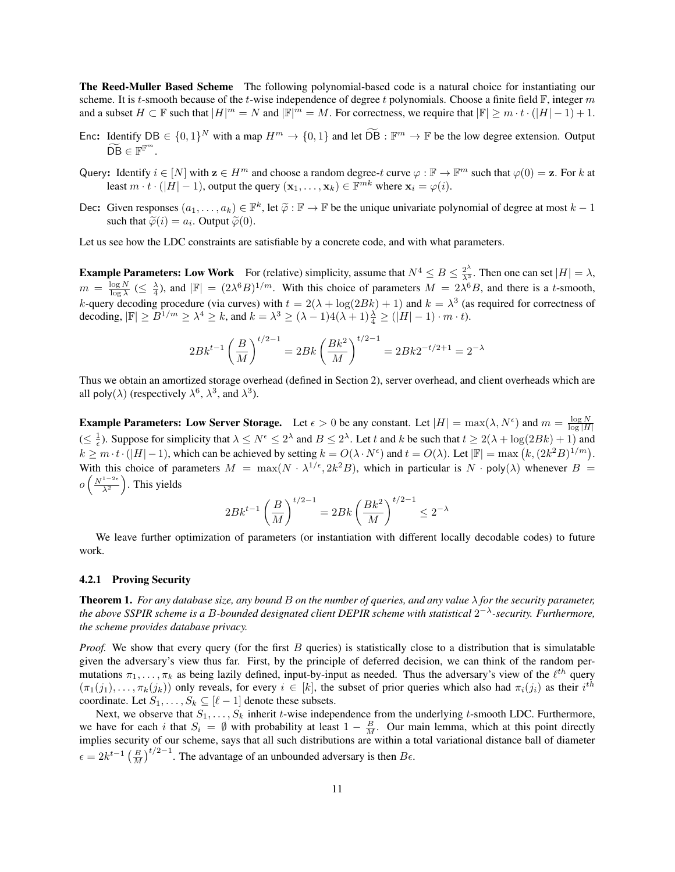**The Reed-Muller Based Scheme** The following polynomial-based code is a natural choice for instantiating our scheme. It is t-smooth because of the t-wise independence of degree t polynomials. Choose a finite field  $\mathbb{F}$ , integer m and a subset  $H \subset \mathbb{F}$  such that  $|H|^m = N$  and  $|\mathbb{F}|^m = M$ . For correctness, we require that  $|\mathbb{F}| \geq m \cdot t \cdot (|H| - 1) + 1$ .

- Enc: Identify  $DB \in \{0,1\}^N$  with a map  $H^m \to \{0,1\}$  and let  $\widetilde{DB} : \mathbb{F}^m \to \mathbb{F}$  be the low degree extension. Output  $\widetilde{\mathsf{DB}} \in \mathbb{F}^{\mathbb{F}^m}$ .
- Query: Identify  $i \in [N]$  with  $\mathbf{z} \in H^m$  and choose a random degree-t curve  $\varphi : \mathbb{F} \to \mathbb{F}^m$  such that  $\varphi(0) = \mathbf{z}$ . For k at least  $m \cdot t \cdot (|H| - 1)$ , output the query  $(\mathbf{x}_1, ..., \mathbf{x}_k) \in \mathbb{F}^{mk}$  where  $\mathbf{x}_i = \varphi(i)$ .
- Dec: Given responses  $(a_1, \ldots, a_k) \in \mathbb{F}^k$ , let  $\widetilde{\varphi} : \mathbb{F} \to \mathbb{F}$  be the unique univariate polynomial of degree at most  $k 1$ <br>such that  $\widetilde{\varphi}(i) = \varphi$ . Output  $\widetilde{\varphi}(0)$ such that  $\widetilde{\varphi}(i) = a_i$ . Output  $\widetilde{\varphi}(0)$ .

Let us see how the LDC constraints are satisfiable by a concrete code, and with what parameters.

**Example Parameters: Low Work** For (relative) simplicity, assume that  $N^4 \le B \le \frac{2^{\lambda}}{\lambda^3}$ . Then one can set  $|H| = \lambda$ ,  $m = \frac{\log N}{\log \lambda}$  ( $\leq \frac{\lambda}{4}$ ), and  $|\mathbb{F}| = (2\lambda^6 B)^{1/m}$ . With this choice of parameters  $M = 2\lambda^6 B$ , and there is a t-smooth, k-query decoding procedure (via curves) with  $t = 2(\lambda + \log(2Bk) + 1)$  and  $k = \lambda^3$  (as required for correctness of decoding,  $|\mathbb{F}| \geq B^{1/m} \geq \lambda^4 \geq k$ , and  $k = \lambda^3 \geq (\lambda - 1)4(\lambda + 1)\frac{\lambda}{4} \geq (|H| - 1) \cdot m \cdot t$ .

$$
2Bk^{t-1} \left(\frac{B}{M}\right)^{t/2-1} = 2Bk \left(\frac{Bk^2}{M}\right)^{t/2-1} = 2Bk2^{-t/2+1} = 2^{-\lambda}
$$

Thus we obtain an amortized storage overhead (defined in Section [2\)](#page-5-0), server overhead, and client overheads which are all poly( $\lambda$ ) (respectively  $\lambda^6$ ,  $\lambda^3$ , and  $\lambda^3$ ).

**Example Parameters: Low Server Storage.** Let  $\epsilon > 0$  be any constant. Let  $|H| = \max(\lambda, N^{\epsilon})$  and  $m = \frac{\log N}{\log |H|}$  $(\leq \frac{1}{\epsilon})$ . Suppose for simplicity that  $\lambda \leq N^{\epsilon} \leq 2^{\lambda}$  and  $B \leq 2^{\lambda}$ . Let t and k be such that  $t \geq 2(\lambda + \log(2Bk) + 1)$  and  $k \geq m \cdot t \cdot (|H|-1)$ , which can be achieved by setting  $k = O(\lambda \cdot N^{\epsilon})$  and  $t = O(\lambda)$ . Let  $|\mathbb{F}| = \max(k, (2k^2B)^{1/m})$ . With this choice of parameters  $M = \max(N \cdot \lambda^{1/\epsilon}, 2k^2B)$ , which in particular is  $N \cdot \text{poly}(\lambda)$  whenever  $B =$  $o\left(\frac{N^{1-2\epsilon}}{\lambda^2}\right)$ . This yields

$$
2Bk^{t-1}\left(\frac{B}{M}\right)^{t/2-1} = 2Bk\left(\frac{Bk^2}{M}\right)^{t/2-1} \leq 2^{-\lambda}
$$

We leave further optimization of parameters (or instantiation with different locally decodable codes) to future work.

#### 4.2.1 Proving Security

<span id="page-10-1"></span>**Theorem 1.** *For any database size, any bound*  $B$  *on the number of queries, and any value*  $\lambda$  *for the security parameter, the above SSPIR scheme is a* B*-bounded designated client DEPIR scheme with statistical* 2 −λ *-security. Furthermore, the scheme provides database privacy.*

*Proof.* We show that every query (for the first B queries) is statistically close to a distribution that is simulatable given the adversary's view thus far. First, by the principle of deferred decision, we can think of the random permutations  $\pi_1, \ldots, \pi_k$  as being lazily defined, input-by-input as needed. Thus the adversary's view of the  $\ell^{th}$  query  $(\pi_1(j_1), \ldots, \pi_k(j_k))$  only reveals, for every  $i \in [k]$ , the subset of prior queries which also had  $\pi_i(j_i)$  as their  $i^{th}$ coordinate. Let  $S_1, \ldots, S_k \subseteq [\ell - 1]$  denote these subsets.

<span id="page-10-0"></span>Next, we observe that  $S_1, \ldots, S_k$  inherit t-wise independence from the underlying t-smooth LDC. Furthermore, we have for each i that  $S_i = \emptyset$  with probability at least  $1 - \frac{B}{M}$ . Our main lemma, which at this point directly implies security of our scheme, says that all such distributions are within a total variational distance ball of diameter  $\epsilon = 2k^{t-1} \left(\frac{B}{M}\right)^{t/2-1}$ . The advantage of an unbounded adversary is then  $B\epsilon$ .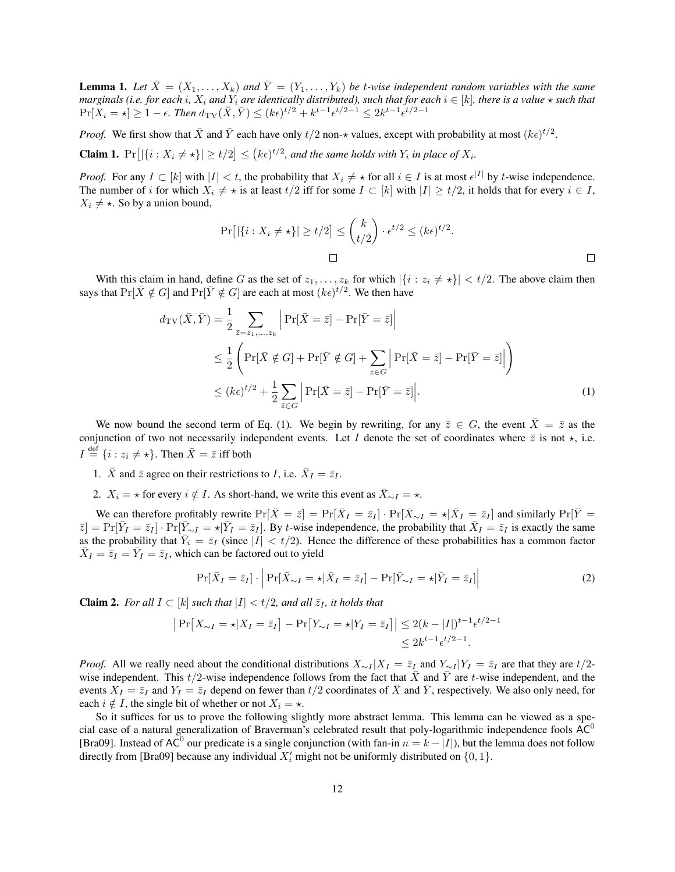**Lemma 1.** Let  $\bar{X} = (X_1, \ldots, X_k)$  and  $\bar{Y} = (Y_1, \ldots, Y_k)$  be *t*-wise independent random variables with the same *marginals (i.e. for each i,*  $X_i$  *and*  $Y_i$  *are identically distributed), such that for each*  $i \in [k]$ *, there is a value*  $\star$  *such that*  $Pr[X_i = \star] \ge 1 - \epsilon$ . Then  $d_{\text{TV}}(\bar{X}, \bar{Y}) \le (k\epsilon)^{t/2} + k^{t-1}\epsilon^{t/2-1} \le 2k^{t-1}\epsilon^{t/2-1}$ 

*Proof.* We first show that  $\bar{X}$  and  $\bar{Y}$  each have only  $t/2$  non- $\star$  values, except with probability at most  $(ke)^{t/2}$ .

<span id="page-11-1"></span>**Claim 1.**  $Pr[|\{i : X_i \neq \star\}| \geq t/2] \leq (k\epsilon)^{t/2}$ , and the same holds with  $Y_i$  in place of  $X_i$ .

*Proof.* For any  $I \subset [k]$  with  $|I| < t$ , the probability that  $X_i \neq \star$  for all  $i \in I$  is at most  $\epsilon^{|I|}$  by t-wise independence. The number of i for which  $X_i \neq \star$  is at least  $t/2$  iff for some  $I \subset [k]$  with  $|I| \geq t/2$ , it holds that for every  $i \in I$ ,  $X_i \neq \star$ . So by a union bound,

<span id="page-11-0"></span>
$$
\Pr\left[\left|\left\{i: X_i \neq \star\right\}\right| \geq t/2\right] \leq \binom{k}{t/2} \cdot \epsilon^{t/2} \leq (k\epsilon)^{t/2}.
$$

With this claim in hand, define G as the set of  $z_1, \ldots, z_k$  for which  $|\{i : z_i \neq \star\}| < t/2$ . The above claim then says that  $Pr[\bar{X} \notin G]$  and  $Pr[\bar{Y} \notin G]$  are each at most  $(ke)^{t/2}$ . We then have

$$
d_{\text{TV}}(\bar{X}, \bar{Y}) = \frac{1}{2} \sum_{\bar{z} = z_1, \dots, z_k} \left| \Pr[\bar{X} = \bar{z}] - \Pr[\bar{Y} = \bar{z}] \right|
$$
  
\n
$$
\leq \frac{1}{2} \left( \Pr[\bar{X} \notin G] + \Pr[\bar{Y} \notin G] + \sum_{\bar{z} \in G} \left| \Pr[\bar{X} = \bar{z}] - \Pr[\bar{Y} = \bar{z}] \right| \right)
$$
  
\n
$$
\leq (k\epsilon)^{t/2} + \frac{1}{2} \sum_{\bar{z} \in G} \left| \Pr[\bar{X} = \bar{z}] - \Pr[\bar{Y} = \bar{z}] \right|.
$$
 (1)

We now bound the second term of Eq. [\(1\)](#page-11-0). We begin by rewriting, for any  $\bar{z} \in G$ , the event  $\bar{X} = \bar{z}$  as the conjunction of two not necessarily independent events. Let I denote the set of coordinates where  $\bar{z}$  is not  $\star$ , i.e.  $I \stackrel{\text{def}}{=} \{i : z_i \neq \star\}$ . Then  $\bar{X} = \bar{z}$  iff both

- 1.  $\bar{X}$  and  $\bar{z}$  agree on their restrictions to *I*, i.e.  $\bar{X}_I = \bar{z}_I$ .
- 2.  $X_i = \star$  for every  $i \notin I$ . As short-hand, we write this event as  $\bar{X}_{\sim I} = \star$ .

We can therefore profitably rewrite  $Pr[\bar{X} = \bar{z}] = Pr[\bar{X}_I = \bar{z}_I] \cdot Pr[\bar{X}_{\sim I} = \star | \bar{X}_I = \bar{z}_I]$  and similarly  $Pr[\bar{Y} = \bar{X}_I]$  $\overline{z}$ ] = Pr $[\overline{Y}_I = \overline{z}_I] \cdot \overline{Pr}[\overline{Y}_{\sim I} = \overline{x}_I]$ . By t-wise independence, the probability that  $\overline{X}_I = \overline{z}_I$  is exactly the same as the probability that  $\overline{Y}_i = \overline{z}_I$  (since  $|I| < t/2$ ). Hence the difference of these probabilities has a common factor  $\bar{X}_I = \bar{z}_I = \bar{Y}_I = \bar{z}_I$ , which can be factored out to yield

<span id="page-11-4"></span>
$$
\Pr[\bar{X}_I = \bar{z}_I] \cdot \left| \Pr[\bar{X}_{\sim I} = \star | \bar{X}_I = \bar{z}_I] - \Pr[\bar{Y}_{\sim I} = \star | \bar{Y}_I = \bar{z}_I] \right| \tag{2}
$$

<span id="page-11-3"></span>**Claim 2.** For all  $I \subset [k]$  such that  $|I| < t/2$ , and all  $\overline{z}_I$ , it holds that

$$
\left| \Pr\left[X_{\sim I} = \star | X_I = \bar{z}_I \right] - \Pr\left[Y_{\sim I} = \star | Y_I = \bar{z}_I \right] \right| \leq 2(k - |I|)^{t-1} \epsilon^{t/2 - 1} \leq 2k^{t-1} \epsilon^{t/2 - 1}.
$$

*Proof.* All we really need about the conditional distributions  $X_{\sim I} | X_I = \overline{z}_I$  and  $Y_{\sim I} | Y_I = \overline{z}_I$  are that they are t/2wise independent. This  $t/2$ -wise independence follows from the fact that  $\bar{X}$  and  $\bar{Y}$  are t-wise independent, and the events  $X_I = \bar{z}_I$  and  $Y_I = \bar{z}_I$  depend on fewer than  $t/2$  coordinates of  $\bar{X}$  and  $\bar{Y}$ , respectively. We also only need, for each  $i \notin I$ , the single bit of whether or not  $X_i = \star$ .

<span id="page-11-2"></span>So it suffices for us to prove the following slightly more abstract lemma. This lemma can be viewed as a special case of a natural generalization of Braverman's celebrated result that poly-logarithmic independence fools  $AC<sup>0</sup>$ [\[Bra09\]](#page-23-15). Instead of AC<sup>0</sup> our predicate is a single conjunction (with fan-in  $n = k - |I|$ ), but the lemma does not follow directly from [\[Bra09\]](#page-23-15) because any individual  $X_i'$  might not be uniformly distributed on  $\{0, 1\}$ .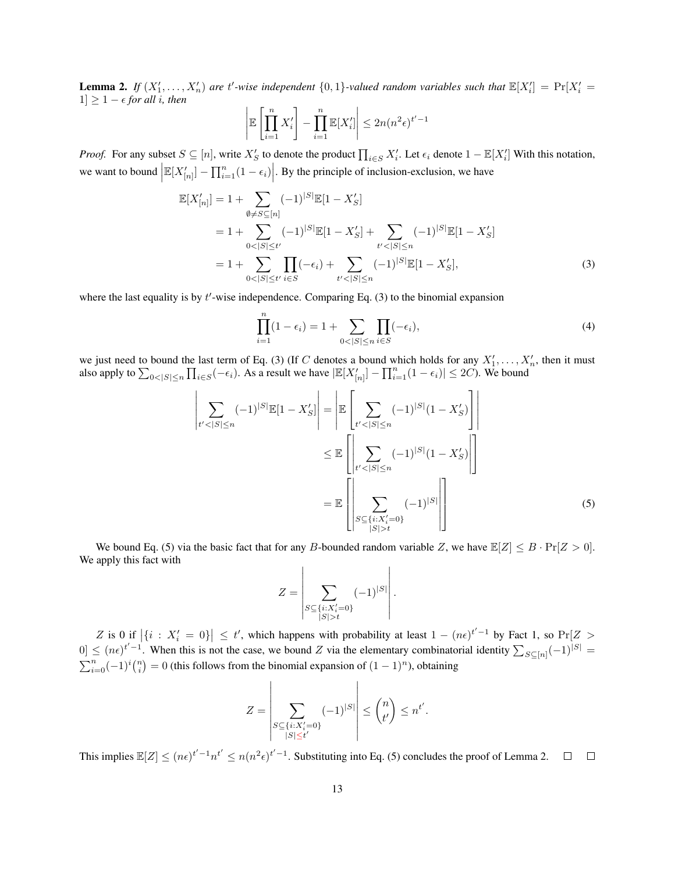**Lemma 2.** If  $(X'_1, \ldots, X'_n)$  are t'-wise independent  $\{0,1\}$ -valued random variables such that  $\mathbb{E}[X'_i] = \Pr[X'_i =$  $1] \geq 1 - \epsilon$  *for all i, then* 

$$
\left| \mathbb{E} \left[ \prod_{i=1}^n X_i' \right] - \prod_{i=1}^n \mathbb{E} [X_i'] \right| \le 2n(n^2 \epsilon)^{t'-1}
$$

*Proof.* For any subset  $S \subseteq [n]$ , write  $X'_S$  to denote the product  $\prod_{i \in S} X'_i$ . Let  $\epsilon_i$  denote  $1 - \mathbb{E}[X'_i]$  With this notation, we want to bound  $\left| \mathbb{E}[X'_{[n]}] - \prod_{i=1}^{n} (1 - \epsilon_i) \right|$ . By the principle of inclusion-exclusion, we have

$$
\mathbb{E}[X'_{[n]}] = 1 + \sum_{\emptyset \neq S \subseteq [n]} (-1)^{|S|} \mathbb{E}[1 - X'_{S}]
$$
  
= 1 +  $\sum_{0 < |S| \le t'} (-1)^{|S|} \mathbb{E}[1 - X'_{S}] + \sum_{t' < |S| \le n} (-1)^{|S|} \mathbb{E}[1 - X'_{S}]$   
= 1 +  $\sum_{0 < |S| \le t'} \prod_{i \in S} (-\epsilon_{i}) + \sum_{t' < |S| \le n} (-1)^{|S|} \mathbb{E}[1 - X'_{S}],$  (3)

where the last equality is by  $t'$ -wise independence. Comparing Eq. [\(3\)](#page-12-0) to the binomial expansion

<span id="page-12-0"></span>
$$
\prod_{i=1}^{n} (1 - \epsilon_i) = 1 + \sum_{0 < |S| \le n} \prod_{i \in S} (-\epsilon_i),\tag{4}
$$

we just need to bound the last term of Eq. [\(3\)](#page-12-0) (If C denotes a bound which holds for any  $X'_1, \ldots, X'_n$ , then it must also apply to  $\sum_{0<|S|\leq n} \prod_{i\in S} (-\epsilon_i)$ . As a result we have  $|\mathbb{E}[X'_{[n]}] - \prod_{i=1}^n (1-\epsilon_i)| \leq 2C$ ). We bound

$$
\left| \sum_{t' < |S| \le n} (-1)^{|S|} \mathbb{E}[1 - X'_S] \right| = \left| \mathbb{E} \left[ \sum_{t' < |S| \le n} (-1)^{|S|} (1 - X'_S) \right] \right|
$$
\n
$$
\le \mathbb{E} \left[ \left| \sum_{t' < |S| \le n} (-1)^{|S|} (1 - X'_S) \right| \right]
$$
\n
$$
= \mathbb{E} \left[ \left| \sum_{S \subseteq \{i: X'_i = 0\}} (-1)^{|S|} \right| \right]
$$
\n(5)

We bound Eq. [\(5\)](#page-12-1) via the basic fact that for any B-bounded random variable Z, we have  $\mathbb{E}[Z] \leq B \cdot \Pr[Z > 0]$ . We apply this fact with

<span id="page-12-1"></span>
$$
Z = \left| \sum_{\substack{S \subseteq \{i:X'_i=0\} \\ |S| > t}} (-1)^{|S|} \right|.
$$

Z is 0 if  $|\{i : X'_i = 0\}| \le t'$ , which happens with probability at least  $1 - (n\epsilon)^{t'-1}$  by Fact [1,](#page-11-1) so Pr[Z >  $[0]$  ≤  $(n\epsilon)^{t'-1}$ . When this is not the case, we bound Z via the elementary combinatorial identity  $\sum_{S \subseteq [n]} (-1)^{|S|}$  =  $\sum_{i=0}^{n}(-1)^{i}\binom{n}{i} = 0$  (this follows from the binomial expansion of  $(1 - 1)^{n}$ ), obtaining

$$
Z = \left| \sum_{\substack{S \subseteq \{i:X'_i=0\} \\ |S| \le t'}} (-1)^{|S|} \right| \le {n \choose t'} \le n^{t'}.
$$

This implies  $\mathbb{E}[Z] \leq (n\epsilon)^{t'-1} n^{t'} \leq n(n^2\epsilon)^{t'-1}$ . Substituting into Eq. [\(5\)](#page-12-1) concludes the proof of Lemma [2.](#page-11-2)  $\Box$   $\Box$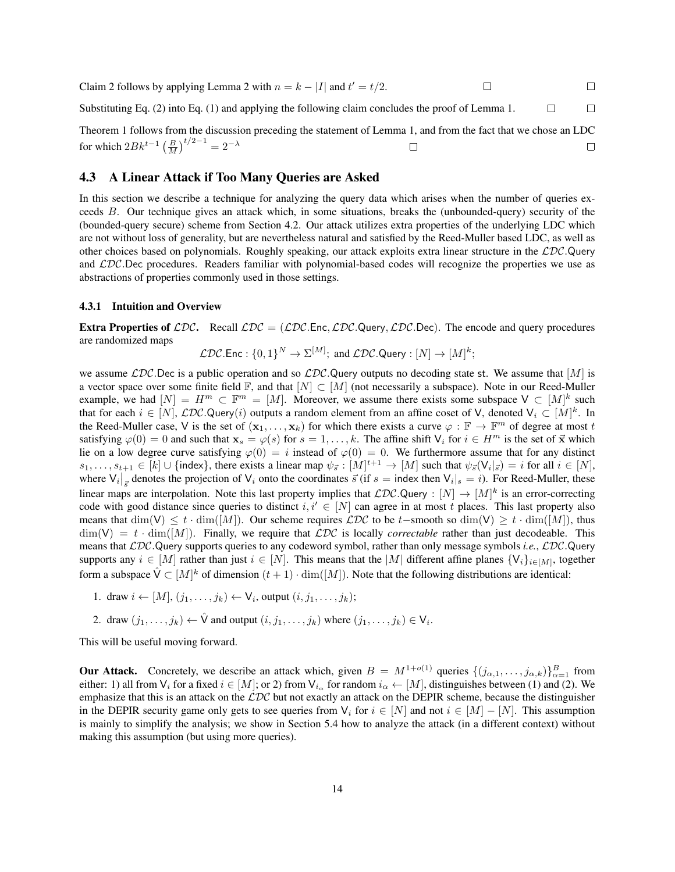Claim [2](#page-11-2) follows by applying Lemma 2 with  $n = k - |I|$  and  $t' = t/2$ .  $\Box$  $\Box$ 

 $\Box$ 

Substituting Eq. [\(2\)](#page-11-4) into Eq. [\(1\)](#page-11-0) and applying the following claim concludes the proof of Lemma [1.](#page-10-0)  $\Box$ 

Theorem [1](#page-10-1) follows from the discussion preceding the statement of Lemma [1,](#page-10-0) and from the fact that we chose an LDC for which  $2Bk^{t-1} \left(\frac{B}{M}\right)^{t/2-1} = 2^{-\lambda}$  $\Box$  $\Box$ 

#### <span id="page-13-0"></span>4.3 A Linear Attack if Too Many Queries are Asked

In this section we describe a technique for analyzing the query data which arises when the number of queries exceeds B. Our technique gives an attack which, in some situations, breaks the (unbounded-query) security of the (bounded-query secure) scheme from Section [4.2.](#page-9-0) Our attack utilizes extra properties of the underlying LDC which are not without loss of generality, but are nevertheless natural and satisfied by the Reed-Muller based LDC, as well as other choices based on polynomials. Roughly speaking, our attack exploits extra linear structure in the  $\mathcal{LDC}$ . Query and LDC.Dec procedures. Readers familiar with polynomial-based codes will recognize the properties we use as abstractions of properties commonly used in those settings.

#### 4.3.1 Intuition and Overview

**Extra Properties of LDC.** Recall  $\mathcal{LDC} = (\mathcal{LDC} \cdot \text{Enc}, \mathcal{LDC} \cdot \text{Query}, \mathcal{LDC} \cdot \text{Dec})$ . The encode and query procedures are randomized maps

$$
\mathcal{LDC}
$$
.Enc:  $\{0,1\}^N \to \Sigma^{[M]}$ ; and  $\mathcal{LDC}$ .Query:  $[N] \to [M]^k$ ;

we assume  $\mathcal{LDC}$ . Dec is a public operation and so  $\mathcal{LDC}$ . Query outputs no decoding state st. We assume that  $[M]$  is a vector space over some finite field F, and that  $[N] \subset [M]$  (not necessarily a subspace). Note in our Reed-Muller example, we had  $[N] = H^m \subset \mathbb{F}^m = [M]$ . Moreover, we assume there exists some subspace  $V \subset [M]^k$  such that for each  $i \in [N]$ ,  $\mathcal{LDC}$ . Query $(i)$  outputs a random element from an affine coset of V, denoted  $V_i \subset [M]^k$ . In the Reed-Muller case, V is the set of  $(x_1, \ldots, x_k)$  for which there exists a curve  $\varphi : \mathbb{F} \to \mathbb{F}^m$  of degree at most t satisfying  $\varphi(0) = 0$  and such that  $\mathbf{x}_s = \varphi(s)$  for  $s = 1, \dots, k$ . The affine shift  $V_i$  for  $i \in H^m$  is the set of  $\vec{\mathbf{x}}$  which lie on a low degree curve satisfying  $\varphi(0) = i$  instead of  $\varphi(0) = 0$ . We furthermore assume that for any distinct  $s_1, \ldots, s_{t+1} \in [k] \cup \{\text{index}\},\$  there exists a linear map  $\psi_{\vec{s}} : [M]^{t+1} \to [M]$  such that  $\psi_{\vec{s}}(\mathsf{V}_i |_{\vec{s}}) = i$  for all  $i \in [N],$ where  $V_i|_{s}$  denotes the projection of  $V_i$  onto the coordinates  $\vec{s}$  (if  $s = \text{index then } V_i|_{s} = i$ ). For Reed-Muller, these linear maps are interpolation. Note this last property implies that  $\mathcal{LDC}$ . Query :  $[N] \to [M]^k$  is an error-correcting code with good distance since queries to distinct  $i, i' \in [N]$  can agree in at most t places. This last property also means that  $\dim(V) \leq t \cdot \dim([M])$ . Our scheme requires  $\mathcal{LDC}$  to be t–smooth so  $\dim(V) \geq t \cdot \dim([M])$ , thus  $\dim(V) = t \cdot \dim([M])$ . Finally, we require that  $\mathcal{LDC}$  is locally *correctable* rather than just decodeable. This means that LDC.Query supports queries to any codeword symbol, rather than only message symbols *i.e.*, LDC.Query supports any  $i \in [M]$  rather than just  $i \in [N]$ . This means that the  $|M|$  different affine planes  $\{V_i\}_{i \in [M]}$ , together form a subspace  $\hat{V} \subset [M]^k$  of dimension  $(t+1) \cdot \dim([M])$ . Note that the following distributions are identical:

- 1. draw  $i \leftarrow [M], (j_1, \ldots, j_k) \leftarrow V_i$ , output  $(i, j_1, \ldots, j_k)$ ;
- 2. draw  $(j_1, \ldots, j_k) \leftarrow \hat{V}$  and output  $(i, j_1, \ldots, j_k)$  where  $(j_1, \ldots, j_k) \in V_i$ .

This will be useful moving forward.

**Our Attack.** Concretely, we describe an attack which, given  $B = M^{1+o(1)}$  queries  $\{(j_{\alpha,1},...,j_{\alpha,k})\}_{\alpha=1}^B$  from either: 1) all from  $\mathsf{V}_i$  for a fixed  $i \in [M]$ ; or 2) from  $\mathsf{V}_{i_\alpha}$  for random  $i_\alpha \leftarrow [M]$ , distinguishes between (1) and (2). We emphasize that this is an attack on the  $\mathcal{LDC}$  but not exactly an attack on the DEPIR scheme, because the distinguisher in the DEPIR security game only gets to see queries from  $V_i$  for  $i \in [N]$  and not  $i \in [M] - [N]$ . This assumption is mainly to simplify the analysis; we show in Section [5.4](#page-21-0) how to analyze the attack (in a different context) without making this assumption (but using more queries).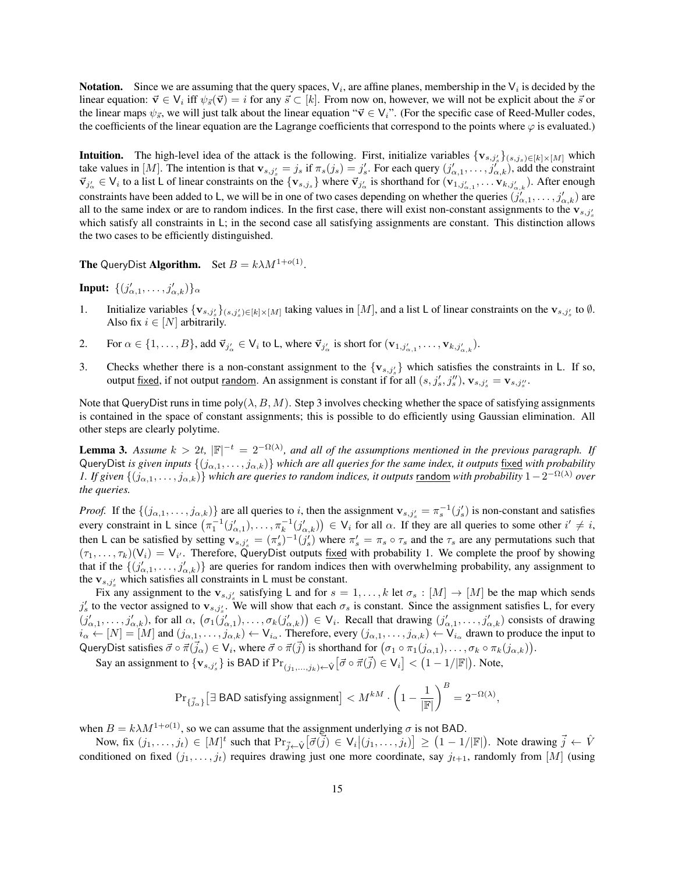Notation. Since we are assuming that the query spaces,  $V_i$ , are affine planes, membership in the  $V_i$  is decided by the linear equation:  $\vec{v} \in V_i$  iff  $\psi_{\vec{s}}(\vec{v}) = i$  for any  $\vec{s} \subset [k]$ . From now on, however, we will not be explicit about the  $\vec{s}$  or the linear maps  $\psi_{\vec{s}}$ , we will just talk about the linear equation " $\vec{v} \in V_i$ ". (For the specific case of Reed-Muller codes, the coefficients of the linear equation are the Lagrange coefficients that correspond to the points where  $\varphi$  is evaluated.)

**Intuition.** The high-level idea of the attack is the following. First, initialize variables  $\{v_{s,j_s'}\}_{(s,j_s)\in[k]\times[M]}$  which take values in [M]. The intention is that  $\mathbf{v}_{s,j_s'} = j_s$  if  $\pi_s(j_s) = j_s'$ . For each query  $(j'_{\alpha,1}, \ldots, j'_{\alpha,k})$ , add the constraint  $\vec{v}_{j'_\alpha} \in V_i$  to a list L of linear constraints on the  $\{v_{s,j_s}\}\$  where  $\vec{v}_{j'_\alpha}$  is shorthand for  $(v_{1,j'_{\alpha,1}}, \dots v_{k,j'_{\alpha,k}})$ . After enough constraints have been added to L, we will be in one of two cases depending on whether the queries  $(j'_{\alpha,1},\ldots,j'_{\alpha,k})$  are all to the same index or are to random indices. In the first case, there will exist non-constant assignments to the  $v_{s,j'_s}$ which satisfy all constraints in L; in the second case all satisfying assignments are constant. This distinction allows the two cases to be efficiently distinguished.

**The QueryDist Algorithm.** Set  $B = k \lambda M^{1+o(1)}$ .

**Input:**  $\{(j'_{\alpha,1},\ldots,j'_{\alpha,k})\}_\alpha$ 

- 1. Initialize variables  $\{v_{s,j_s}\}_{(s,j_s')\in[k]\times[M]}$  taking values in  $[M]$ , and a list L of linear constraints on the  $v_{s,j_s'}$  to  $\emptyset$ . Also fix  $i \in [N]$  arbitrarily.
- 2. For  $\alpha \in \{1, \ldots, B\}$ , add  $\vec{v}_{j'_\alpha} \in V_i$  to L, where  $\vec{v}_{j'_\alpha}$  is short for  $(\mathbf{v}_{1, j'_{\alpha,1}}, \ldots, \mathbf{v}_{k, j'_{\alpha,k}})$ .
- 3. Checks whether there is a non-constant assignment to the  ${v_{s,j'}\}$  which satisfies the constraints in L. If so, output <u>fixed</u>, if not output <u>random</u>. An assignment is constant if for all  $(s, j'_s, j''_s)$ ,  $\mathbf{v}_{s, j'_s} = \mathbf{v}_{s, j''_s}$ .

Note that QueryDist runs in time poly( $\lambda, B, M$ ). Step 3 involves checking whether the space of satisfying assignments is contained in the space of constant assignments; this is possible to do efficiently using Gaussian elimination. All other steps are clearly polytime.

**Lemma 3.** Assume  $k > 2t$ ,  $|\mathbb{F}|^{-t} = 2^{-\Omega(\lambda)}$ , and all of the assumptions mentioned in the previous paragraph. If QueryDist *is given inputs*  $\{(j_{\alpha,1},\ldots,j_{\alpha,k})\}$  *which are all queries for the same index, it outputs* fixed *with probability 1.* If given {(j<sub>α,1</sub>, . . . , j<sub>α,k</sub>)} which are queries to random indices, it outputs <u>random</u> with probability 1 − 2<sup>-Ω(λ)</sup> over *the queries.*

*Proof.* If the  $\{(j_{\alpha,1},\ldots,j_{\alpha,k})\}$  are all queries to i, then the assignment  $\mathbf{v}_{s,j_s'} = \pi_s^{-1}(j_s')$  is non-constant and satisfies every constraint in L since  $(\pi_1^{-1}(j'_{\alpha,1}), \ldots, \pi_k^{-1}(j'_{\alpha,k})) \in V_i$  for all  $\alpha$ . If they are all queries to some other  $i' \neq i$ , then L can be satisfied by setting  $\mathbf{v}_{s,j_s'} = (\pi_s')^{-1}(j_s')$  where  $\pi_s' = \pi_s \circ \tau_s$  and the  $\tau_s$  are any permutations such that  $(\tau_1,\ldots,\tau_k)(V_i) = V_{i'}$ . Therefore, QueryDist outputs fixed with probability 1. We complete the proof by showing that if the  $\{(j'_{\alpha,1},\ldots,j'_{\alpha,k})\}$  are queries for random indices then with overwhelming probability, any assignment to the  $\mathbf{v}_{s,j_s}$  which satisfies all constraints in L must be constant.

Fix any assignment to the  $\mathbf{v}_{s,j_s}$  satisfying L and for  $s = 1, \ldots, k$  let  $\sigma_s : [M] \to [M]$  be the map which sends  $j'_s$  to the vector assigned to  $\mathbf{v}_{s,j'_s}$ . We will show that each  $\sigma_s$  is constant. Since the assignment satisfies L, for every  $(j'_{\alpha,1},\ldots,j'_{\alpha,k})$ , for all  $\alpha$ ,  $(\sigma_1(j'_{\alpha,1}),\ldots,\sigma_k(j'_{\alpha,k})) \in V_i$ . Recall that drawing  $(j'_{\alpha,1},\ldots,j'_{\alpha,k})$  consists of drawing  $i_{\alpha} \leftarrow [N] = [M]$  and  $(j_{\alpha,1}, \ldots, j_{\alpha,k}) \leftarrow V_{i_{\alpha}}$ . Therefore, every  $(j_{\alpha,1}, \ldots, j_{\alpha,k}) \leftarrow V_{i_{\alpha}}$  drawn to produce the input to QueryDist satisfies  $\vec{\sigma} \circ \vec{\pi}(\vec{j}_{\alpha}) \in V_i$ , where  $\vec{\sigma} \circ \vec{\pi}(\vec{j})$  is shorthand for  $(\sigma_1 \circ \pi_1(j_{\alpha,1}), \ldots, \sigma_k \circ \pi_k(j_{\alpha,k}))$ .

Say an assignment to  $\{v_{s,j_s}\}\$ is BAD if  $Pr_{(j_1,...,j_k)\leftarrow \hat{V}}[\vec{\sigma}\circ \vec{\pi}(\vec{j}) \in V_i] < (1-1/|\mathbb{F}|)$ . Note,

$$
\mathrm{Pr}_{\{\vec{j}_{\alpha}\}}\left[\exists \text{ BAD satisfying assignment}\right] < M^{kM} \cdot \left(1 - \frac{1}{|\mathbb{F}|}\right)^B = 2^{-\Omega(\lambda)},
$$

when  $B = k\lambda M^{1+o(1)}$ , so we can assume that the assignment underlying  $\sigma$  is not BAD.

Now, fix  $(j_1, \ldots, j_t) \in [M]^t$  such that  $\Pr_{\vec{j} \leftarrow \hat{V}} [\vec{\sigma}(\vec{j}) \in V_i | (j_1, \ldots, j_t)] \geq (1 - 1/|\mathbb{F}|)$ . Note drawing  $\vec{j} \leftarrow \hat{V}$ conditioned on fixed  $(j_1, \ldots, j_t)$  requires drawing just one more coordinate, say  $j_{t+1}$ , randomly from [M] (using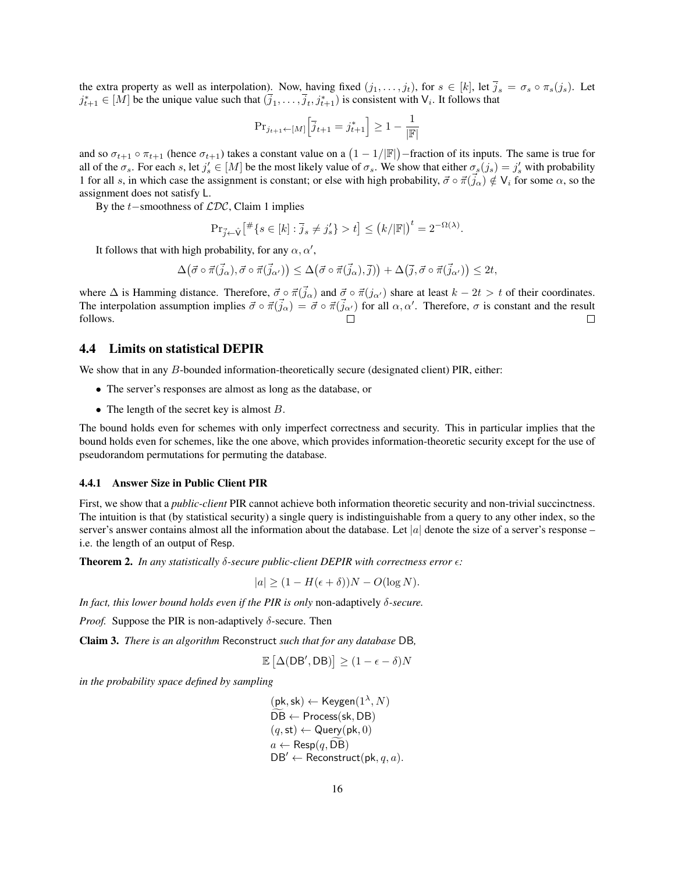the extra property as well as interpolation). Now, having fixed  $(j_1, \ldots, j_t)$ , for  $s \in [k]$ , let  $\overline{j}_s = \sigma_s \circ \pi_s(j_s)$ . Let  $j_{t+1}^* \in [M]$  be the unique value such that  $(\bar{j}_1, \ldots, \bar{j}_t, j_{t+1}^*)$  is consistent with  $V_i$ . It follows that

$$
\textstyle \Pr_{j_{t+1} \leftarrow [M]} \Big[ \bar{j}_{t+1} = j^*_{t+1} \Big] \geq 1 - \frac{1}{|\mathbb{F}|}
$$

and so  $\sigma_{t+1} \circ \pi_{t+1}$  (hence  $\sigma_{t+1}$ ) takes a constant value on a  $(1 - 1/|\mathbb{F}|)$ —fraction of its inputs. The same is true for all of the  $\sigma_s$ . For each s, let  $j_s' \in [M]$  be the most likely value of  $\sigma_s$ . We show that either  $\sigma_s(j_s) = j_s'$  with probability 1 for all s, in which case the assignment is constant; or else with high probability,  $\vec{\sigma} \circ \vec{\pi}(\vec{j}_{\alpha}) \notin V_i$  for some  $\alpha$ , so the assignment does not satisfy L.

By the  $t$ −smoothness of  $\mathcal{LDC}$ , Claim [1](#page-11-1) implies

$$
\mathrm{Pr}_{\overline{j}\leftarrow\hat{\mathsf{V}}}\left[ ^{\#}\{s\in[k]: \overline{j}_s\neq j'_s\}>t\right] \leq \big(k/|\mathbb{F}|\big)^t=2^{-\Omega(\lambda)}.
$$

It follows that with high probability, for any  $\alpha, \alpha',$ 

$$
\Delta\big(\vec{\sigma}\circ\vec{\pi}(\vec{j}_{\alpha}),\vec{\sigma}\circ\vec{\pi}(\vec{j}_{\alpha'})\big)\leq\Delta\big(\vec{\sigma}\circ\vec{\pi}(\vec{j}_{\alpha}),\overline{j})\big)+\Delta\big(\overline{j},\vec{\sigma}\circ\vec{\pi}(\overline{j}_{\alpha'})\big)\leq 2t,
$$

where  $\Delta$  is Hamming distance. Therefore,  $\vec{\sigma} \circ \vec{\pi}(\vec{j}_{\alpha})$  and  $\vec{\sigma} \circ \vec{\pi}(j_{\alpha'})$  share at least  $k - 2t > t$  of their coordinates. The interpolation assumption implies  $\vec{\sigma} \circ \vec{\pi}(\vec{j}_{\alpha}) = \vec{\sigma} \circ \vec{\pi}(\vec{j}_{\alpha'})$  for all  $\alpha, \alpha'$ . Therefore,  $\sigma$  is constant and the result follows.  $\Box$  $\Box$ 

#### <span id="page-15-0"></span>4.4 Limits on statistical DEPIR

We show that in any B-bounded information-theoretically secure (designated client) PIR, either:

- The server's responses are almost as long as the database, or
- The length of the secret key is almost  $B$ .

The bound holds even for schemes with only imperfect correctness and security. This in particular implies that the bound holds even for schemes, like the one above, which provides information-theoretic security except for the use of pseudorandom permutations for permuting the database.

#### 4.4.1 Answer Size in Public Client PIR

First, we show that a *public-client* PIR cannot achieve both information theoretic security and non-trivial succinctness. The intuition is that (by statistical security) a single query is indistinguishable from a query to any other index, so the server's answer contains almost all the information about the database. Let  $|a|$  denote the size of a server's response – i.e. the length of an output of Resp.

<span id="page-15-1"></span>Theorem 2. *In any statistically* δ*-secure public-client DEPIR with correctness error :*

$$
|a| \ge (1 - H(\epsilon + \delta))N - O(\log N).
$$

*In fact, this lower bound holds even if the PIR is only* non-adaptively δ*-secure.*

*Proof.* Suppose the PIR is non-adaptively  $\delta$ -secure. Then

Claim 3. *There is an algorithm* Reconstruct *such that for any database* DB*,*

$$
\mathbb{E}\left[\Delta(\mathsf{DB}', \mathsf{DB})\right] \ge (1 - \epsilon - \delta)N
$$

*in the probability space defined by sampling*

$$
(\mathsf{pk},\mathsf{sk}) \leftarrow \mathsf{Keygen}(1^{\lambda},N)
$$
  
\n
$$
\widetilde{\mathsf{DB}} \leftarrow \mathsf{Process}(\mathsf{sk},\mathsf{DB})
$$
  
\n
$$
(q,\mathsf{st}) \leftarrow \mathsf{Query}(\mathsf{pk},0)
$$
  
\n
$$
a \leftarrow \mathsf{Resp}(q,\widetilde{\mathsf{DB}})
$$
  
\n
$$
\mathsf{DB}' \leftarrow \mathsf{Reconstruct}(\mathsf{pk},q,a).
$$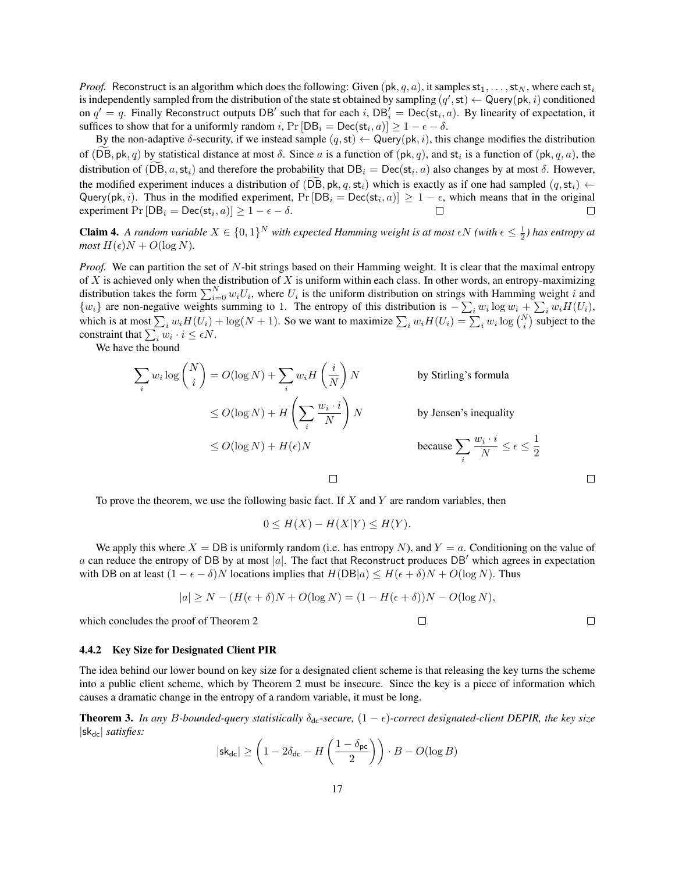*Proof.* Reconstruct is an algorithm which does the following: Given (pk, q, a), it samples  $st_1, \ldots, st_N$ , where each  $st_i$ is independently sampled from the distribution of the state st obtained by sampling  $(q', \text{st}) \leftarrow \text{Query}(\text{pk}, i)$  conditioned on  $q' = q$ . Finally Reconstruct outputs DB' such that for each i, DB $q' = Dec(st_i, a)$ . By linearity of expectation, it suffices to show that for a uniformly random i,  $Pr[DB_i = Dec(st_i, a)] \ge 1 - \epsilon - \delta$ .

By the non-adaptive  $\delta$ -security, if we instead sample  $(q, st) \leftarrow$  Query(pk, i), this change modifies the distribution of (DB, pk, q) by statistical distance at most  $\delta$ . Since a is a function of (pk, q), and  $st_i$  is a function of (pk, q, a), the distribution of  $(DB, a, st_i)$  and therefore the probability that  $DB_i = Dec(st_i, a)$  also changes by at most  $\delta$ . However, the modified experiment induces a distribution of (DB, pk, q, st<sub>i</sub>) which is exactly as if one had sampled  $(q, st_i)$   $\leftarrow$ Query(pk, i). Thus in the modified experiment,  $Pr[DB_i = Dec(st_i, a)] \ge 1 - \epsilon$ , which means that in the original experiment  $Pr[DB_i = Dec(st_i, a)] \ge 1 - \epsilon - \delta$ .  $\Box$  $\Box$ 

**Claim 4.** A random variable  $X \in \{0,1\}^N$  with expected Hamming weight is at most  $\epsilon N$  (with  $\epsilon \leq \frac{1}{2}$ ) has entropy at *most*  $H(\epsilon)N + O(\log N)$ .

*Proof.* We can partition the set of N-bit strings based on their Hamming weight. It is clear that the maximal entropy of X is achieved only when the distribution of X is uniform within each class. In other words, an entropy-maximizing distribution takes the form  $\sum_{i=0}^{N} w_i U_i$ , where  $U_i$  is the uniform distribution on strings with Hamming weight i and  $\{w_i\}$  are non-negative weights summing to 1. The entropy of this distribution is  $-\sum_i w_i \log w_i + \sum_i w_i H(U_i)$ , which is at most  $\sum_i w_i H(U_i) + \log(N + 1)$ . So we want to maximize  $\sum_i w_i H(U_i) = \sum_i w_i \log {N \choose i}$  subject to the constraint that  $\sum_i w_i \cdot i \leq \epsilon N$ .

We have the bound

$$
\sum_{i} w_{i} \log {N \choose i} = O(\log N) + \sum_{i} w_{i} H\left(\frac{i}{N}\right) N \qquad \text{by Stirling's formula}
$$
\n
$$
\leq O(\log N) + H\left(\sum_{i} \frac{w_{i} \cdot i}{N}\right) N \qquad \text{by Jensen's inequality}
$$
\n
$$
\leq O(\log N) + H(\epsilon)N \qquad \text{because } \sum_{i} \frac{w_{i} \cdot i}{N} \leq \epsilon \leq \frac{1}{2}
$$

To prove the theorem, we use the following basic fact. If  $X$  and  $Y$  are random variables, then

$$
0 \le H(X) - H(X|Y) \le H(Y).
$$

We apply this where  $X = DB$  is uniformly random (i.e. has entropy N), and  $Y = a$ . Conditioning on the value of a can reduce the entropy of DB by at most |a|. The fact that Reconstruct produces DB<sup>'</sup> which agrees in expectation with DB on at least  $(1 - \epsilon - \delta)N$  locations implies that  $H(DB|a) \leq H(\epsilon + \delta)N + O(\log N)$ . Thus

$$
|a| \ge N - (H(\epsilon + \delta)N + O(\log N)) = (1 - H(\epsilon + \delta))N - O(\log N),
$$
  
the proof of Theorem 2

 $\Box$ 

which concludes the p

#### 4.4.2 Key Size for Designated Client PIR

The idea behind our lower bound on key size for a designated client scheme is that releasing the key turns the scheme into a public client scheme, which by Theorem [2](#page-15-1) must be insecure. Since the key is a piece of information which causes a dramatic change in the entropy of a random variable, it must be long.

**Theorem 3.** *In any B-bounded-query statistically*  $\delta_{dc}$ -secure,  $(1 - \epsilon)$ -correct designated-client DEPIR, the key size |skdc| *satisfies:*

$$
|\mathsf{sk}_{\mathsf{dc}}| \ge \left(1 - 2\delta_{\mathsf{dc}} - H\left(\frac{1 - \delta_{\mathsf{pc}}}{2}\right)\right) \cdot B - O(\log B)
$$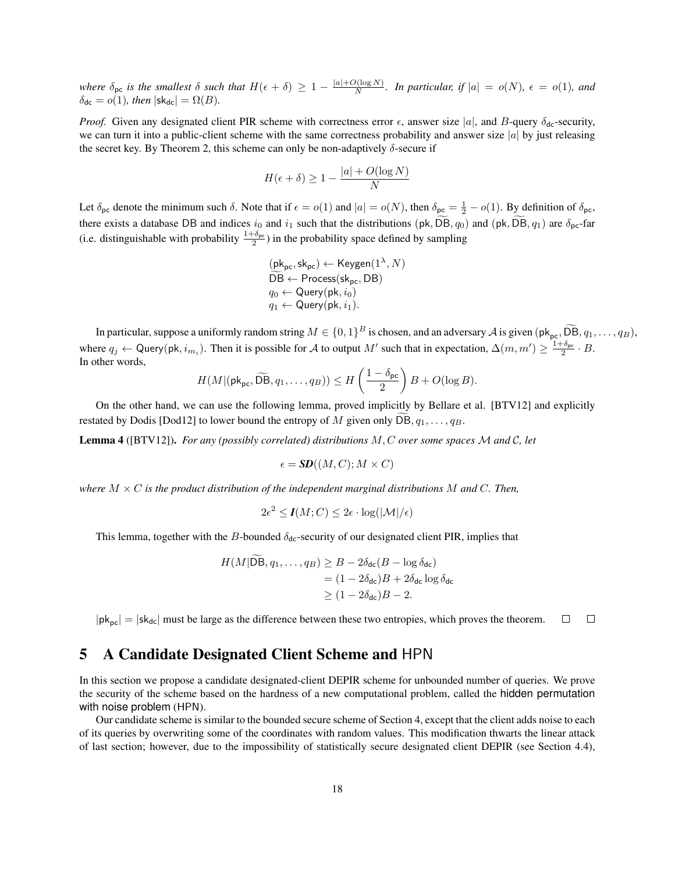*where*  $\delta_{\text{pc}}$  *is the smallest*  $\delta$  *such that*  $H(\epsilon + \delta) \geq 1 - \frac{|a| + O(\log N)}{N}$  $\frac{\log N}{N}$ *.* In particular, if  $|a| = o(N)$ ,  $\epsilon = o(1)$ *, and*  $\delta_{\text{dc}} = o(1)$ *, then*  $|\text{sk}_{\text{dc}}| = \Omega(B)$ *.* 

*Proof.* Given any designated client PIR scheme with correctness error  $\epsilon$ , answer size |a|, and B-query  $\delta_{dc}$ -security, we can turn it into a public-client scheme with the same correctness probability and answer size  $|a|$  by just releasing the secret key. By Theorem [2,](#page-15-1) this scheme can only be non-adaptively  $\delta$ -secure if

$$
H(\epsilon + \delta) \ge 1 - \frac{|a| + O(\log N)}{N}
$$

Let  $\delta_{\text{pc}}$  denote the minimum such  $\delta$ . Note that if  $\epsilon = o(1)$  and  $|a| = o(N)$ , then  $\delta_{\text{pc}} = \frac{1}{2} - o(1)$ . By definition of  $\delta_{\text{pc}}$ , there exists a database DB and indices  $i_0$  and  $i_1$  such that the distributions (pk, DB,  $q_0$ ) and (pk, DB,  $q_1$ ) are  $\delta_{\text{pc}}$ -far (i.e. distinguishable with probability  $\frac{1+\delta_{pc}}{2}$ ) in the probability space defined by sampling

$$
(\mathsf{pk}_{\mathsf{pc}}, \mathsf{sk}_{\mathsf{pc}}) \leftarrow \mathsf{Keygen}(1^{\lambda}, N)
$$
  
\n
$$
\widetilde{\mathsf{DB}} \leftarrow \mathsf{Process}(\mathsf{sk}_{\mathsf{pc}}, \mathsf{DB})
$$
  
\n
$$
q_0 \leftarrow \mathsf{Query}(\mathsf{pk}, i_0)
$$
  
\n
$$
q_1 \leftarrow \mathsf{Query}(\mathsf{pk}, i_1).
$$

In particular, suppose a uniformly random string  $M \in \{0,1\}^B$  is chosen, and an adversary  $\mathcal A$  is given  $(\mathsf{pk}_{\mathsf{pc}}, \overline{\mathsf{DB}}, q_1, \ldots, q_B)$ , where  $q_j \leftarrow$  Query(pk,  $i_{m_i}$ ). Then it is possible for A to output M' such that in expectation,  $\Delta(m, m') \ge \frac{1+\delta_{pc}}{2} \cdot B$ . In other words,

$$
H(M \mid (\mathsf{pk}_{\mathsf{pc}}, \widetilde{\mathsf{DB}}, q_1, \dots, q_B)) \leq H\left(\frac{1 - \delta_{\mathsf{pc}}}{2}\right)B + O(\log B).
$$

On the other hand, we can use the following lemma, proved implicitly by Bellare et al. [\[BTV12\]](#page-23-16) and explicitly restated by Dodis [\[Dod12\]](#page-23-17) to lower bound the entropy of M given only DB,  $q_1, \ldots, q_B$ .

Lemma 4 ([\[BTV12\]](#page-23-16)). *For any (possibly correlated) distributions* M, C *over some spaces* M *and* C*, let*

$$
\epsilon = SD((M, C); M \times C)
$$

*where*  $M \times C$  *is the product distribution of the independent marginal distributions* M *and* C. Then,

$$
2\epsilon^2 \le \mathbf{I}(M;C) \le 2\epsilon \cdot \log(|\mathcal{M}|/\epsilon)
$$

This lemma, together with the B-bounded  $\delta_{\text{dc}}$ -security of our designated client PIR, implies that

$$
H(M|DB, q_1, \dots, q_B) \ge B - 2\delta_{\text{dc}}(B - \log \delta_{\text{dc}})
$$
  
=  $(1 - 2\delta_{\text{dc}})B + 2\delta_{\text{dc}} \log \delta_{\text{dc}}$   
 $\ge (1 - 2\delta_{\text{dc}})B - 2.$ 

 $|pk_{pc}| = |sk_{dc}|$  must be large as the difference between these two entropies, which proves the theorem.  $\Box$  $\Box$ 

### <span id="page-17-0"></span>5 A Candidate Designated Client Scheme and HPN

In this section we propose a candidate designated-client DEPIR scheme for unbounded number of queries. We prove the security of the scheme based on the hardness of a new computational problem, called the hidden permutation with noise problem (HPN).

Our candidate scheme is similar to the bounded secure scheme of Section [4,](#page-8-0) except that the client adds noise to each of its queries by overwriting some of the coordinates with random values. This modification thwarts the linear attack of last section; however, due to the impossibility of statistically secure designated client DEPIR (see Section [4.4\)](#page-15-0),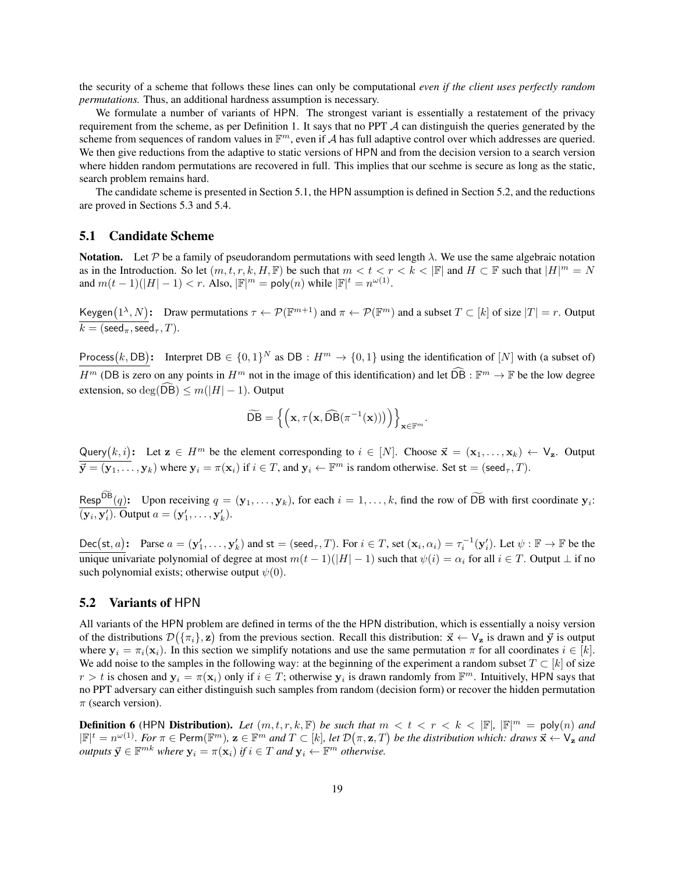the security of a scheme that follows these lines can only be computational *even if the client uses perfectly random permutations.* Thus, an additional hardness assumption is necessary.

We formulate a number of variants of HPN. The strongest variant is essentially a restatement of the privacy requirement from the scheme, as per Definition [1.](#page-5-1) It says that no PPT  $A$  can distinguish the queries generated by the scheme from sequences of random values in  $\mathbb{F}^m$ , even if A has full adaptive control over which addresses are queried. We then give reductions from the adaptive to static versions of HPN and from the decision version to a search version where hidden random permutations are recovered in full. This implies that our scehme is secure as long as the static, search problem remains hard.

The candidate scheme is presented in Section [5.1,](#page-18-0) the HPN assumption is defined in Section [5.2,](#page-18-1) and the reductions are proved in Sections [5.3](#page-19-0) and [5.4.](#page-21-0)

#### <span id="page-18-0"></span>5.1 Candidate Scheme

**Notation.** Let P be a family of pseudorandom permutations with seed length  $\lambda$ . We use the same algebraic notation as in the Introduction. So let  $(m, t, r, k, H, \mathbb{F})$  be such that  $m < t < r < k < |\mathbb{F}|$  and  $H \subset \mathbb{F}$  such that  $|H|^m = N$ and  $m(t-1)(|H|-1) < r$ . Also,  $|\mathbb{F}|^m = \text{poly}(n)$  while  $|\mathbb{F}|^t = n^{\omega(1)}$ .

Keygen $(1^{\lambda}, N)$ : Draw permutations  $\tau \leftarrow \mathcal{P}(\mathbb{F}^{m+1})$  and  $\pi \leftarrow \mathcal{P}(\mathbb{F}^m)$  and a subset  $T \subset [k]$  of size  $|T| = r$ . Output  $\overline{k} = (\overline{\text{seed}_{\pi}, \text{seed}_{\tau}, T}).$ 

Process(k, DB): Interpret DB  $\in \{0,1\}^N$  as DB :  $H^m \to \{0,1\}$  using the identification of  $[N]$  with (a subset of)  $H^m$  (DB is zero on any points in  $H^m$  not in the image of this identification) and let  $\widehat{DB}$ :  $\mathbb{F}^m \to \mathbb{F}$  be the low degree extension, so deg(DB)  $\leq m(|H|-1)$ . Output

$$
\widetilde{\mathsf{DB}} = \left\{ \left( \mathbf{x}, \tau \left( \mathbf{x}, \widehat{\mathsf{DB}}(\pi^{-1}(\mathbf{x})) \right) \right) \right\}_{\mathbf{x} \in \mathbb{F}^m}.
$$

Query  $(k, i)$ : Let  $z \in H^m$  be the element corresponding to  $i \in [N]$ . Choose  $\vec{x} = (\mathbf{x}_1, \dots, \mathbf{x}_k) \leftarrow \forall z$ . Output  $\overline{\vec{y}=(y_1,\ldots,y_k)}$  where  $y_i=\pi(\mathbf{x}_i)$  if  $i\in T$ , and  $y_i\leftarrow\mathbb{F}^m$  is random otherwise. Set st = (seed $_{\tau},T$ ).

Resp<sup>DB</sup>(q): Upon receiving  $q = (\mathbf{y}_1, \dots, \mathbf{y}_k)$ , for each  $i = 1, \dots, k$ , find the row of  $\widetilde{DB}$  with first coordinate  $\mathbf{y}_i$ :  $(\mathbf{y}_i, \mathbf{y}'_i)$ . Output  $a = (\mathbf{y}'_1, \dots, \mathbf{y}'_k)$ .

Dec(st, a): Parse  $a = (\mathbf{y}'_1, \dots, \mathbf{y}'_k)$  and st = (seed<sub> $\tau$ </sub>, T). For  $i \in T$ , set  $(\mathbf{x}_i, \alpha_i) = \tau_i^{-1}(\mathbf{y}'_i)$ . Let  $\psi : \mathbb{F} \to \mathbb{F}$  be the unique univariate polynomial of degree at most  $m(t-1)(|H|-1)$  such that  $\psi(i) = \alpha_i$  for all  $i \in T$ . Output  $\perp$  if no such polynomial exists; otherwise output  $\psi(0)$ .

#### <span id="page-18-1"></span>5.2 Variants of HPN

All variants of the HPN problem are defined in terms of the the HPN distribution, which is essentially a noisy version of the distributions  $\mathcal{D}(\{\pi_i\}, \mathbf{z})$  from the previous section. Recall this distribution:  $\vec{x} \leftarrow V_{\vec{z}}$  is drawn and  $\vec{y}$  is output where  $y_i = \pi_i(\mathbf{x}_i)$ . In this section we simplify notations and use the same permutation  $\pi$  for all coordinates  $i \in [k]$ . We add noise to the samples in the following way: at the beginning of the experiment a random subset  $T \subset [k]$  of size  $r > t$  is chosen and  $y_i = \pi(x_i)$  only if  $i \in T$ ; otherwise  $y_i$  is drawn randomly from  $\mathbb{F}^m$ . Intuitively, HPN says that no PPT adversary can either distinguish such samples from random (decision form) or recover the hidden permutation  $\pi$  (search version).

**Definition 6** (HPN Distribution). Let  $(m, t, r, k, \mathbb{F})$  be such that  $m < t < r < k < |\mathbb{F}|$ ,  $\|\mathbb{F}|^m = \text{poly}(n)$  and  $|\mathbb{F}|^t = n^{\omega(1)}$ . For  $\pi \in \text{Perm}(\mathbb{F}^m)$ ,  $\mathbf{z} \in \mathbb{F}^m$  and  $T \subset [k]$ , let  $\mathcal{D}(\pi, \mathbf{z}, T)$  be the distribution which: draws  $\vec{\mathbf{x}} \leftarrow \mathsf{V}_{\mathbf{z}}$  and *outputs*  $\vec{y} \in \mathbb{F}^{mk}$  *where*  $y_i = \pi(x_i)$  *if*  $i \in T$  *and*  $y_i \leftarrow \mathbb{F}^m$  *otherwise.*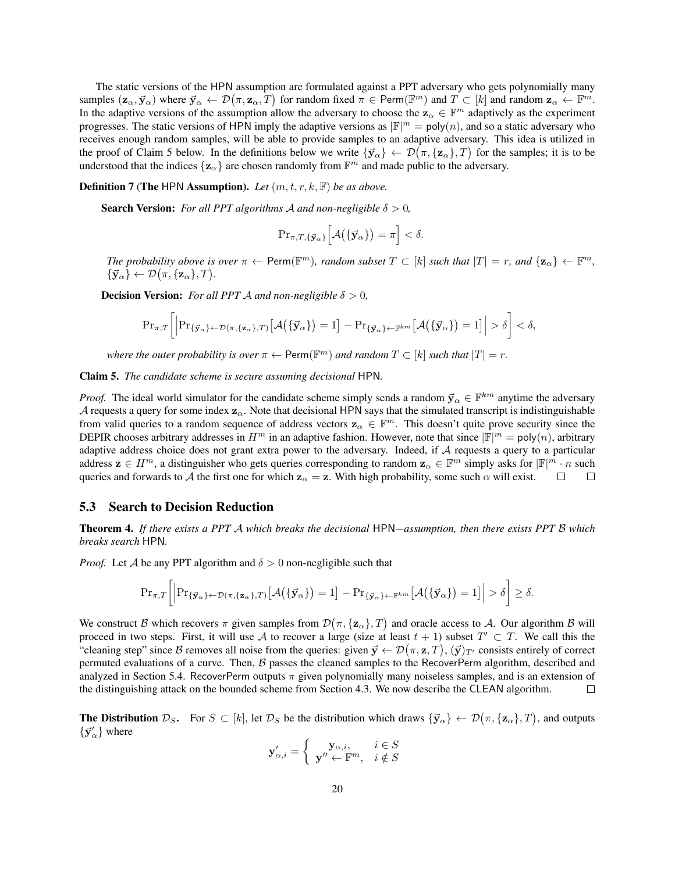The static versions of the HPN assumption are formulated against a PPT adversary who gets polynomially many samples  $(\mathbf{z}_{\alpha}, \vec{y}_{\alpha})$  where  $\vec{y}_{\alpha} \leftarrow \mathcal{D}(\pi, \mathbf{z}_{\alpha}, T)$  for random fixed  $\pi \in \text{Perm}(\mathbb{F}^m)$  and  $T \subset [k]$  and random  $\mathbf{z}_{\alpha} \leftarrow \mathbb{F}^m$ . In the adaptive versions of the assumption allow the adversary to choose the  $z_\alpha \in \mathbb{F}^m$  adaptively as the experiment progresses. The static versions of HPN imply the adaptive versions as  $\mathbb{F}|^m = \text{poly}(n)$ , and so a static adversary who receives enough random samples, will be able to provide samples to an adaptive adversary. This idea is utilized in the proof of Claim [5](#page-19-1) below. In the definitions below we write  $\{\vec{y}_\alpha\} \leftarrow \mathcal{D}(\pi,\{\mathbf{z}_\alpha\},T)$  for the samples; it is to be understood that the indices  $\{z_\alpha\}$  are chosen randomly from  $\mathbb{F}^m$  and made public to the adversary.

**Definition 7 (The HPN Assumption).** Let  $(m, t, r, k, \mathbb{F})$  be as above.

**Search Version:** *For all PPT algorithms A and non-negligible*  $\delta > 0$ *,* 

$$
\mathrm{Pr}_{\pi, T, \{\vec{\mathbf{y}}_{\alpha}\}} \Big[\mathcal{A}\big(\{\vec{\mathbf{y}}_{\alpha}\}\big) = \pi\Big] < \delta.
$$

*The probability above is over*  $\pi \leftarrow \text{Perm}(\mathbb{F}^m)$ *, random subset*  $T \subset [k]$  *such that*  $|T| = r$ *, and*  $\{z_\alpha\} \leftarrow \mathbb{F}^m$ *,*  ${\lbrace \vec{\mathbf{y}}_{\alpha} \rbrace} \leftarrow \mathcal{D}(\pi, {\lbrace \mathbf{z}_{\alpha} \rbrace}, T).$ 

**Decision Version:** *For all PPT A and non-negligible*  $\delta > 0$ *,* 

$$
\mathrm{Pr}_{\pi, T}\bigg[\Big|\mathrm{Pr}_{\{\vec{\mathbf{y}}_{\alpha}\}\leftarrow\mathcal{D}(\pi, \{\mathbf{z}_{\alpha}\}, T)}\big[\mathcal{A}\big(\{\vec{\mathbf{y}}_{\alpha}\}\big) = 1\big] - \mathrm{Pr}_{\{\vec{\mathbf{y}}_{\alpha}\}\leftarrow \mathbb{F}^{km}}\big[\mathcal{A}\big(\{\vec{\mathbf{y}}_{\alpha}\}\big) = 1\big]\Big| > \delta\bigg] < \delta,
$$

*where the outer probability is over*  $\pi \leftarrow \text{Perm}(\mathbb{F}^m)$  *and random*  $T \subset [k]$  *such that*  $|T| = r$ .

<span id="page-19-1"></span>Claim 5. *The candidate scheme is secure assuming decisional* HPN*.*

*Proof.* The ideal world simulator for the candidate scheme simply sends a random  $\vec{y}_{\alpha} \in \mathbb{F}^{km}$  anytime the adversary A requests a query for some index  $z_\alpha$ . Note that decisional HPN says that the simulated transcript is indistinguishable from valid queries to a random sequence of address vectors  $z_\alpha \in \mathbb{F}^m$ . This doesn't quite prove security since the DEPIR chooses arbitrary addresses in  $H^m$  in an adaptive fashion. However, note that since  $|\mathbb{F}|^m = \text{poly}(n)$ , arbitrary adaptive address choice does not grant extra power to the adversary. Indeed, if  $A$  requests a query to a particular address  $\mathbf{z} \in H^m$ , a distinguisher who gets queries corresponding to random  $\mathbf{z}_{\alpha} \in \mathbb{F}^m$  simply asks for  $|\mathbb{F}|^m \cdot n$  such queries and forwards to A the first one for which  $z_\alpha = z$ . With high probability, some such  $\alpha$  will exist.  $\Box$  $\Box$ 

#### <span id="page-19-0"></span>5.3 Search to Decision Reduction

Theorem 4. *If there exists a PPT* A *which breaks the decisional* HPN−*assumption, then there exists PPT* B *which breaks search* HPN*.*

*Proof.* Let A be any PPT algorithm and  $\delta > 0$  non-negligible such that

$$
\mathrm{Pr}_{\pi, T}\bigg[\Big|\mathrm{Pr}_{\{\vec{\mathbf{y}}_{\alpha}\} \leftarrow \mathcal{D}(\pi, \{\mathbf{z}_{\alpha}\}, T)}\big[\mathcal{A}\big(\{\vec{\mathbf{y}}_{\alpha}\}\big) = 1\big] - \mathrm{Pr}_{\{\vec{\mathbf{y}}_{\alpha}\} \leftarrow \mathbb{F}^{km}}\big[\mathcal{A}\big(\{\vec{\mathbf{y}}_{\alpha}\}\big) = 1\big]\Big| > \delta\bigg] \geq \delta.
$$

We construct B which recovers  $\pi$  given samples from  $\mathcal{D}(\pi,\{\mathbf{z}_\alpha\},T)$  and oracle access to A. Our algorithm B will proceed in two steps. First, it will use A to recover a large (size at least  $t + 1$ ) subset  $T' \subset T$ . We call this the "cleaning step" since B removes all noise from the queries: given  $\vec{y} \leftarrow \mathcal{D}(\pi, \mathbf{z}, T)$ ,  $(\vec{y})_{T'}$  consists entirely of correct permuted evaluations of a curve. Then,  $B$  passes the cleaned samples to the RecoverPerm algorithm, described and analyzed in Section [5.4.](#page-21-0) RecoverPerm outputs  $\pi$  given polynomially many noiseless samples, and is an extension of the distinguishing attack on the bounded scheme from Section [4.3.](#page-13-0) We now describe the CLEAN algorithm.  $\Box$ 

**The Distribution**  $\mathcal{D}_S$ . For  $S \subset [k]$ , let  $\mathcal{D}_S$  be the distribution which draws  $\{\vec{y}_\alpha\} \leftarrow \mathcal{D}(\pi, \{\mathbf{z}_\alpha\}, T)$ , and outputs  $\{\vec{y}'_{\alpha}\}\$  where

$$
\mathbf{y}'_{\alpha,i} = \begin{cases} \mathbf{y}_{\alpha,i}, & i \in S \\ \mathbf{y}'' \leftarrow \mathbb{F}^m, & i \notin S \end{cases}
$$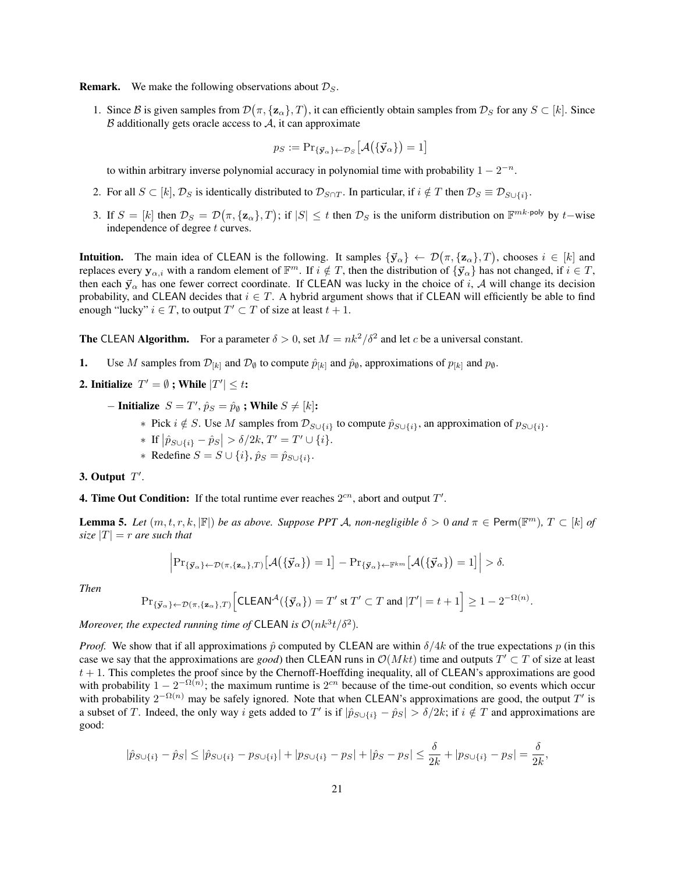**Remark.** We make the following observations about  $\mathcal{D}_S$ .

1. Since B is given samples from  $\mathcal{D}(\pi,\{\mathbf{z}_{\alpha}\},T)$ , it can efficiently obtain samples from  $\mathcal{D}_S$  for any  $S \subset [k]$ . Since  $\beta$  additionally gets oracle access to  $\mathcal{A}$ , it can approximate

$$
p_S := \mathrm{Pr}_{\{\vec{\mathbf{y}}_\alpha\} \leftarrow \mathcal{D}_S}\big[\mathcal{A}\big(\{\vec{\mathbf{y}}_\alpha\}\big) = 1\big]
$$

to within arbitrary inverse polynomial accuracy in polynomial time with probability  $1 - 2^{-n}$ .

- 2. For all  $S \subset [k]$ ,  $\mathcal{D}_S$  is identically distributed to  $\mathcal{D}_{S \cap T}$ . In particular, if  $i \notin T$  then  $\mathcal{D}_S \equiv \mathcal{D}_{S \cup \{i\}}$ .
- 3. If  $S = [k]$  then  $\mathcal{D}_S = \mathcal{D}(\pi, {\{z_\alpha\}}, T)$ ; if  $|S| \le t$  then  $\mathcal{D}_S$  is the uniform distribution on  $\mathbb{F}^{mk \cdot \text{poly}}$  by  $t$ -wise independence of degree  $t$  curves.

**Intuition.** The main idea of CLEAN is the following. It samples  $\{\vec{y}_\alpha\} \leftarrow \mathcal{D}(\pi, \{\mathbf{z}_\alpha\}, T)$ , chooses  $i \in [k]$  and replaces every  $y_{\alpha,i}$  with a random element of  $\mathbb{F}^m$ . If  $i \notin T$ , then the distribution of  $\{\vec{y}_\alpha\}$  has not changed, if  $i \in T$ , then each  $\vec{y}_\alpha$  has one fewer correct coordinate. If CLEAN was lucky in the choice of i, A will change its decision probability, and CLEAN decides that  $i \in T$ . A hybrid argument shows that if CLEAN will efficiently be able to find enough "lucky"  $i \in T$ , to output  $T' \subset T$  of size at least  $t + 1$ .

**The CLEAN Algorithm.** For a parameter  $\delta > 0$ , set  $M = nk^2/\delta^2$  and let c be a universal constant.

1. Use M samples from  $\mathcal{D}_{[k]}$  and  $\mathcal{D}_{\emptyset}$  to compute  $\hat{p}_{[k]}$  and  $\hat{p}_{\emptyset}$ , approximations of  $p_{[k]}$  and  $p_{\emptyset}$ .

2. Initialize 
$$
T' = \emptyset
$$
; While  $|T'| \leq t$ :

- − Initialize  $S = T', \hat{p}_S = \hat{p}_{\emptyset}$ ; While  $S \neq [k]$ :
	- ∗ Pick  $i \notin S$ . Use M samples from  $\mathcal{D}_{S\cup\{i\}}$  to compute  $\hat{p}_{S\cup\{i\}}$ , an approximation of  $p_{S\cup\{i\}}$ .
	- \* If  $|\hat{p}_{S \cup \{i\}} \hat{p}_S| > \delta/2k$ ,  $T' = T' \cup \{i\}.$
	- ∗ Redefine  $S = S \cup \{i\}, \hat{p}_S = \hat{p}_{S \cup \{i\}}.$

### 3. Output  $T'$ .

**4. Time Out Condition:** If the total runtime ever reaches  $2^{cn}$ , abort and output  $T'$ .

**Lemma 5.** Let  $(m, t, r, k, |\mathbb{F}|)$  be as above. Suppose PPT A, non-negligible  $\delta > 0$  and  $\pi \in \text{Perm}(\mathbb{F}^m)$ ,  $T \subset [k]$  of *size*  $|T| = r$  *are such that* 

$$
\left|\Pr_{\{\vec{\mathbf{y}}_{\alpha}\}\leftarrow\mathcal{D}(\pi,\{\mathbf{z}_{\alpha}\},T)}\left[\mathcal{A}\big(\{\vec{\mathbf{y}}_{\alpha}\}\big)=1\right]-\Pr_{\{\vec{\mathbf{y}}_{\alpha}\}\leftarrow\mathbb{F}^{km}}\left[\mathcal{A}\big(\{\vec{\mathbf{y}}_{\alpha}\}\big)=1\right]\right|>\delta.
$$

*Then*

$$
\mathrm{Pr}_{\{\vec{\mathbf{y}}_{\alpha}\} \leftarrow \mathcal{D}(\pi, \{\mathbf{z}_{\alpha}\}, T)} \Big[\mathsf{CLEAN}^{\mathcal{A}}(\{\vec{\mathbf{y}}_{\alpha}\}) = T' \text{ st } T' \subset T \text{ and } |T'| = t+1 \Big] \geq 1 - 2^{-\Omega(n)}.
$$

*Moreover, the expected running time of* CLEAN *is*  $\mathcal{O}(nk^3t/\delta^2)$ *.* 

*Proof.* We show that if all approximations  $\hat{p}$  computed by CLEAN are within  $\delta/4k$  of the true expectations p (in this case we say that the approximations are *good*) then CLEAN runs in  $O(Mkt)$  time and outputs  $T' \subset T$  of size at least  $t + 1$ . This completes the proof since by the Chernoff-Hoeffding inequality, all of CLEAN's approximations are good with probability  $1 - 2^{-\Omega(n)}$ ; the maximum runtime is  $2^{cn}$  because of the time-out condition, so events which occur with probability  $2^{-\Omega(n)}$  may be safely ignored. Note that when CLEAN's approximations are good, the output T' is a subset of T. Indeed, the only way i gets added to T' is if  $|\hat{p}_{S \cup \{i\}} - \hat{p}_S| > \delta/2k$ ; if  $i \notin T$  and approximations are good:

$$
|\hat{p}_{S \cup \{i\}} - \hat{p}_S| \le |\hat{p}_{S \cup \{i\}} - p_{S \cup \{i\}}| + |p_{S \cup \{i\}} - p_S| + |\hat{p}_S - p_S| \le \frac{\delta}{2k} + |p_{S \cup \{i\}} - p_S| = \frac{\delta}{2k},
$$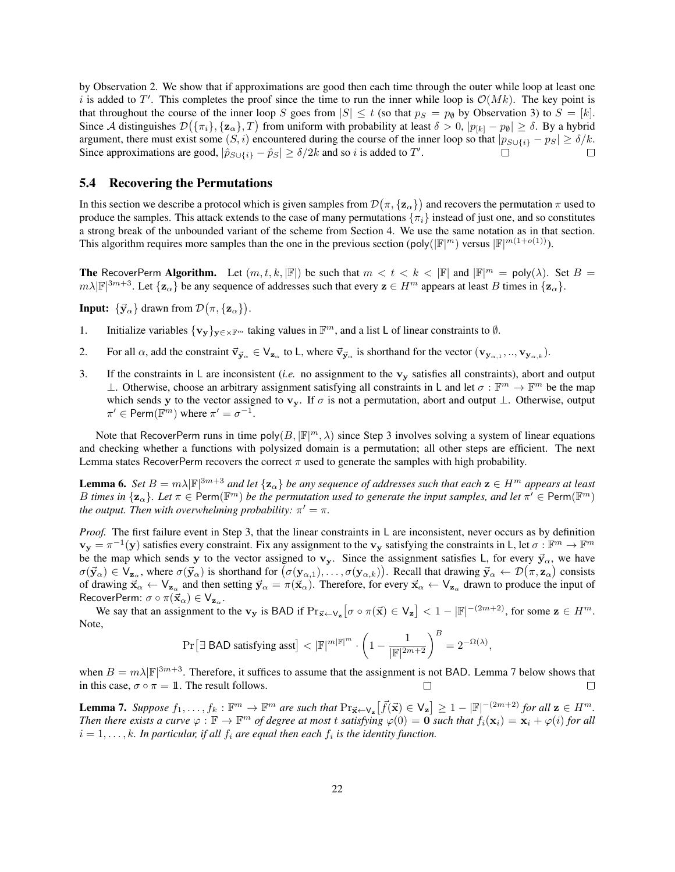by Observation 2. We show that if approximations are good then each time through the outer while loop at least one i is added to T'. This completes the proof since the time to run the inner while loop is  $O(Mk)$ . The key point is that throughout the course of the inner loop S goes from  $|S| \le t$  (so that  $p_S = p_\emptyset$  by Observation 3) to  $S = [k]$ . Since A distinguishes  $\mathcal{D}(\{\pi_i\}, \{\mathbf{z}_\alpha\}, T)$  from uniform with probability at least  $\delta > 0$ ,  $|p_{[k]} - p_{\emptyset}| \ge \delta$ . By a hybrid argument, there must exist some  $(S, i)$  encountered during the course of the inner loop so that  $|p_{S\cup\{i\}} - p_S| \ge \delta/k$ . Since approximations are good,  $|\hat{p}_{S \cup \{i\}} - \hat{p}_S| \ge \delta/2k$  and so i is added to T'. П  $\Box$ 

#### <span id="page-21-0"></span>5.4 Recovering the Permutations

In this section we describe a protocol which is given samples from  $\mathcal{D}(\pi,\{\mathbf{z}_\alpha\})$  and recovers the permutation  $\pi$  used to produce the samples. This attack extends to the case of many permutations  $\{\pi_i\}$  instead of just one, and so constitutes a strong break of the unbounded variant of the scheme from Section [4.](#page-8-0) We use the same notation as in that section. This algorithm requires more samples than the one in the previous section (poly( $\mathbb{F}|^{m}$ ) versus  $\mathbb{F}|^{m(1+o(1))}$ ).

**The** RecoverPerm **Algorithm.** Let  $(m, t, k, |\mathbb{F}|)$  be such that  $m < t < k < |\mathbb{F}|$  and  $|\mathbb{F}|^m = \text{poly}(\lambda)$ . Set  $B =$  $m\lambda|\mathbb{F}|^{3m+3}$ . Let  $\{\mathbf{z}_{\alpha}\}$  be any sequence of addresses such that every  $\mathbf{z} \in H^m$  appears at least B times in  $\{\mathbf{z}_{\alpha}\}$ .

**Input:**  $\{\vec{y}_{\alpha}\}\)$  drawn from  $\mathcal{D}(\pi,\{\mathbf{z}_{\alpha}\})$ .

- 1. Initialize variables  $\{v_y\}_{y \in \times \mathbb{F}^m}$  taking values in  $\mathbb{F}^m$ , and a list L of linear constraints to  $\emptyset$ .
- 2. For all  $\alpha$ , add the constraint  $\vec{v}_{\vec{y}_{\alpha}} \in V_{\mathbf{z}_{\alpha}}$  to L, where  $\vec{v}_{\vec{y}_{\alpha}}$  is shorthand for the vector  $(v_{\mathbf{y}_{\alpha,1}},..,v_{\mathbf{y}_{\alpha,k}})$ .
- 3. If the constraints in L are inconsistent (*i.e.* no assignment to the v<sup>y</sup> satisfies all constraints), abort and output  $⊥$ . Otherwise, choose an arbitrary assignment satisfying all constraints in L and let  $\sigma : \mathbb{F}^m \to \mathbb{F}^m$  be the map which sends y to the vector assigned to  $v_y$ . If  $\sigma$  is not a permutation, abort and output ⊥. Otherwise, output  $\pi' \in \text{Perm}(\mathbb{F}^m)$  where  $\pi' = \sigma^{-1}$ .

Note that RecoverPerm runs in time poly $(B, \mathbb{F}|^{m}, \lambda)$  since Step 3 involves solving a system of linear equations and checking whether a functions with polysized domain is a permutation; all other steps are efficient. The next Lemma states RecoverPerm recovers the correct  $\pi$  used to generate the samples with high probability.

**Lemma 6.** Set  $B = m\lambda |\mathbb{F}|^{3m+3}$  and let  $\{\mathbf{z}_\alpha\}$  be any sequence of addresses such that each  $\mathbf{z} \in H^m$  appears at least B times in  $\{z_\alpha\}$ . Let  $\pi \in \text{Perm}(\mathbb{F}^m)$  be the permutation used to generate the input samples, and let  $\pi' \in \text{Perm}(\mathbb{F}^m)$ *the output. Then with overwhelming probability:*  $\pi' = \pi$ *.* 

*Proof.* The first failure event in Step 3, that the linear constraints in L are inconsistent, never occurs as by definition  $\mathbf{v_y} = \pi^{-1}(\mathbf{y})$  satisfies every constraint. Fix any assignment to the  $\mathbf{v_y}$  satisfying the constraints in L, let  $\sigma : \mathbb{F}^m \to \mathbb{F}^m$ be the map which sends y to the vector assigned to  $v_y$ . Since the assignment satisfies L, for every  $\vec{y}_\alpha$ , we have  $\sigma(\vec{y}_\alpha) \in V_{\mathbf{z}_\alpha}$ , where  $\sigma(\vec{y}_\alpha)$  is shorthand for  $(\sigma(\mathbf{y}_{\alpha,1}), \dots, \sigma(\mathbf{y}_{\alpha,k}))$ . Recall that drawing  $\vec{y}_\alpha \leftarrow \mathcal{D}(\pi, \mathbf{z}_\alpha)$  consists of drawing  $\vec{x}_\alpha \leftarrow V_{\vec{z}_\alpha}$  and then setting  $\vec{y}_\alpha = \pi(\vec{x}_\alpha)$ . Therefore, for every  $\vec{x}_\alpha \leftarrow V_{\vec{z}_\alpha}$  drawn to produce the input of RecoverPerm:  $\sigma \circ \pi (\vec{\mathbf{x}}_{\alpha}) \in \mathsf{V}_{\mathbf{z}_{\alpha}}$ .

We say that an assignment to the  $\mathbf{v}_y$  is BAD if  $\Pr_{\vec{\mathbf{x}} \leftarrow \mathsf{V}_{\vec{\mathbf{z}}}\left[\sigma \circ \pi(\vec{\mathbf{x}}) \in \mathsf{V}_{\vec{\mathbf{z}}}\right] < 1 - |\mathbb{F}|^{-(2m+2)}$ , for some  $\mathbf{z} \in H^m$ . Note,

$$
\Pr\big[\exists \text{ BAD satisfying } \text{asst}\big] < |\mathbb{F}|^{m|\mathbb{F}|^m} \cdot \left(1 - \frac{1}{|\mathbb{F}|^{2m+2}}\right)^B = 2^{-\Omega(\lambda)},
$$

when  $B = m\lambda |\mathbb{F}|^{3m+3}$ . Therefore, it suffices to assume that the assignment is not BAD. Lemma [7](#page-21-1) below shows that in this case,  $\sigma \circ \pi = \mathbb{1}$ . The result follows.  $\Box$ 

<span id="page-21-1"></span>**Lemma 7.** Suppose  $f_1, \ldots, f_k : \mathbb{F}^m \to \mathbb{F}^m$  are such that  $\Pr_{\vec{\mathbf{x}} \leftarrow \mathsf{V}_{\vec{\mathbf{z}}}\left[\vec{f}(\vec{\mathbf{x}}) \in \mathsf{V}_{\vec{\mathbf{z}}}\right] \geq 1 - |\mathbb{F}|^{-(2m+2)}$  for all  $\mathbf{z} \in H^m$ . *Then there exists a curve*  $\varphi : \mathbb{F} \to \mathbb{F}^m$  of degree at most t satisfying  $\varphi(0) = 0$  such that  $f_i(\mathbf{x}_i) = \mathbf{x}_i + \varphi(i)$  for all  $i = 1, \ldots, k$ . In particular, if all  $f_i$  are equal then each  $f_i$  is the identity function.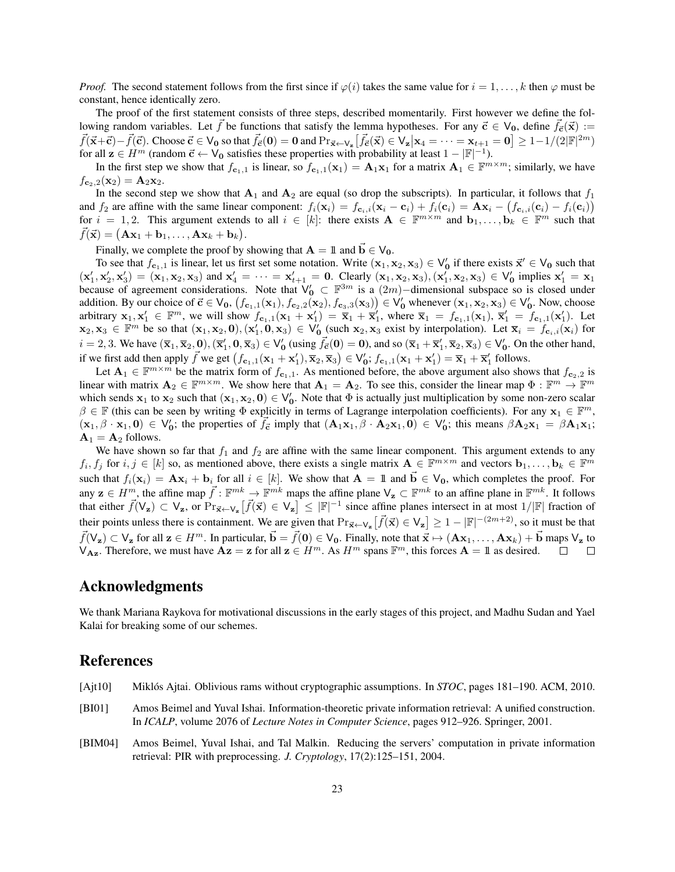*Proof.* The second statement follows from the first since if  $\varphi(i)$  takes the same value for  $i = 1, \ldots, k$  then  $\varphi$  must be constant, hence identically zero.

The proof of the first statement consists of three steps, described momentarily. First however we define the following random variables. Let  $\vec{f}$  be functions that satisfy the lemma hypotheses. For any  $\vec{c} \in V_0$ , define  $\vec{f}_{\vec{c}}(\vec{x}) :=$  $\vec{f}(\vec{x}+\vec{c})-\vec{f}(\vec{c})$ . Choose  $\vec{c} \in V_0$  so that  $\vec{f}_{\vec{c}}(0) = 0$  and  $\Pr_{\vec{x}\leftarrow V_z} [\vec{f}_{\vec{c}}(\vec{x}) \in V_z | x_4 = \cdots = x_{t+1} = 0] \ge 1-1/(2|\mathbb{F}|^{2m})$ for all  $z \in H^m$  (random  $\vec{c} \leftarrow V_0$  satisfies these properties with probability at least  $1 - |\mathbb{F}|^{-1}$ ).

In the first step we show that  $f_{c_1,1}$  is linear, so  $f_{c_1,1}(x_1) = A_1x_1$  for a matrix  $A_1 \in \mathbb{F}^{m \times m}$ ; similarly, we have  $f_{\mathbf{c}_2,2}(\mathbf{x}_2) = \mathbf{A}_2 \mathbf{x}_2.$ 

In the second step we show that  $A_1$  and  $A_2$  are equal (so drop the subscripts). In particular, it follows that  $f_1$ and  $f_2$  are affine with the same linear component:  $f_i(\mathbf{x}_i) = f_{\mathbf{c}_i,i}(\mathbf{x}_i - \mathbf{c}_i) + f_i(\mathbf{c}_i) = \mathbf{A}\mathbf{x}_i - (f_{\mathbf{c}_i,i}(\mathbf{c}_i) - f_i(\mathbf{c}_i))$ for  $i = 1, 2$ . This argument extends to all  $i \in [k]$ : there exists  $A \in \mathbb{F}^{m \times m}$  and  $b_1, \ldots, b_k \in \mathbb{F}^m$  such that  $\vec{f}(\vec{\mathbf{x}}) = (\mathbf{A}\mathbf{x}_1 + \mathbf{b}_1, \dots, \mathbf{A}\mathbf{x}_k + \mathbf{b}_k).$ 

Finally, we complete the proof by showing that  $A = \mathbb{1}$  and  $b \in V_0$ .

To see that  $f_{\mathbf{c}_1,1}$  is linear, let us first set some notation. Write  $(\mathbf{x}_1, \mathbf{x}_2, \mathbf{x}_3) \in V'_0$  if there exists  $\vec{\mathbf{x}}' \in V_0$  such that  $(x'_1, x'_2, x'_3) = (x_1, x_2, x_3)$  and  $x'_4 = \cdots = x'_{t+1} = 0$ . Clearly  $(x_1, x_2, x_3), (x'_1, x_2, x_3) \in V'_0$  implies  $x'_1 = x_1$ because of agreement considerations. Note that  $V'_0 \subset \mathbb{F}^{3m}$  is a  $(2m)$ -dimensional subspace so is closed under addition. By our choice of  $\vec{c} \in V_0$ ,  $(f_{c_1,1}(\mathbf{x}_1), f_{c_2,2}(\mathbf{x}_2), f_{c_3,3}(\mathbf{x}_3)) \in V'_0$  whenever  $(\mathbf{x}_1, \mathbf{x}_2, \mathbf{x}_3) \in V'_0$ . Now, choose arbitrary  $\mathbf{x}_1, \mathbf{x}_1' \in \mathbb{F}^m$ , we will show  $f_{\mathbf{c}_1,1}(\mathbf{x}_1 + \mathbf{x}_1') = \overline{\mathbf{x}}_1 + \overline{\mathbf{x}}_1'$ , where  $\overline{\mathbf{x}}_1 = f_{\mathbf{c}_1,1}(\mathbf{x}_1), \overline{\mathbf{x}}_1' = f_{\mathbf{c}_1,1}(\mathbf{x}_1')$ . Let  $\mathbf{x}_2, \mathbf{x}_3 \in \mathbb{F}^m$  be so that  $(\mathbf{x}_1, \mathbf{x}_2, \mathbf{0}), (\mathbf{x}_1', \mathbf{0}, \mathbf{x}_3) \in V_0'$  (such  $\mathbf{x}_2, \mathbf{x}_3$  exist by interpolation). Let  $\overline{\mathbf{x}}_i = f_{\mathbf{c}_i, i}(\mathbf{x}_i)$  for  $i = 2, 3$ . We have  $(\overline{\mathbf{x}}_1, \overline{\mathbf{x}}_2, \mathbf{0}), (\overline{\mathbf{x}}'_1, \mathbf{0}, \overline{\mathbf{x}}_3) \in V'_0$  (using  $\overrightarrow{f}_{\overrightarrow{c}}(\mathbf{0}) = \mathbf{0}$ ), and so  $(\overline{\mathbf{x}}_1 + \overline{\mathbf{x}}'_1, \overline{\mathbf{x}}_2, \overline{\mathbf{x}}_3) \in V'_0$ . On the other hand, if we first add then apply  $\vec{f}$  we get  $(f_{\mathbf{c}_1,1}(\mathbf{x}_1+\mathbf{x}'_1), \overline{\mathbf{x}}_2, \overline{\mathbf{x}}_3) \in \mathsf{V}'_0$ ;  $f_{\mathbf{c}_1,1}(\mathbf{x}_1+\mathbf{x}'_1) = \overline{\mathbf{x}}_1 + \overline{\mathbf{x}}'_1$  follows.

Let  $A_1 \in \mathbb{F}^{m \times m}$  be the matrix form of  $f_{c_1,1}$ . As mentioned before, the above argument also shows that  $f_{c_2,2}$  is linear with matrix  $\mathbf{A}_2 \in \mathbb{F}^{m \times m}$ . We show here that  $\mathbf{A}_1 = \mathbf{A}_2$ . To see this, consider the linear map  $\Phi : \mathbb{F}^m \to \mathbb{F}^m$ which sends  $x_1$  to  $x_2$  such that  $(x_1, x_2, 0) \in V'_0$ . Note that  $\Phi$  is actually just multiplication by some non-zero scalar  $\beta \in \mathbb{F}$  (this can be seen by writing  $\Phi$  explicitly in terms of Lagrange interpolation coefficients). For any  $x_1 \in \mathbb{F}^m$ ,  $(x_1, \beta \cdot x_1, 0) \in V_0'$ ; the properties of  $\vec{f}_{\vec{c}}$  imply that  $(A_1x_1, \beta \cdot A_2x_1, 0) \in V_0'$ ; this means  $\beta A_2x_1 = \beta A_1x_1$ ;  $A_1 = A_2$  follows.

We have shown so far that  $f_1$  and  $f_2$  are affine with the same linear component. This argument extends to any  $f_i, f_j$  for  $i, j \in [k]$  so, as mentioned above, there exists a single matrix  $\mathbf{A} \in \mathbb{F}^{m \times m}$  and vectors  $\mathbf{b}_1, \ldots, \mathbf{b}_k \in \mathbb{F}^m$ such that  $f_i(\mathbf{x}_i) = \mathbf{A}\mathbf{x}_i + \mathbf{b}_i$  for all  $i \in [k]$ . We show that  $\mathbf{A} = \mathbb{1}$  and  $\vec{\mathbf{b}} \in V_0$ , which completes the proof. For any  $\mathbf{z} \in H^m$ , the affine map  $\vec{f}: \mathbb{F}^{mk} \to \mathbb{F}^{mk}$  maps the affine plane  $\mathsf{V}_{\mathbf{z}} \subset \mathbb{F}^{mk}$  to an affine plane in  $\mathbb{F}^{mk}$ . It follows that either  $\vec{f}(V_z) \subset V_z$ , or  $\Pr_{\vec{x} \leftarrow V_z} [\vec{f}(\vec{x}) \in V_z] \leq |\mathbb{F}|^{-1}$  since affine planes intersect in at most  $1/|\mathbb{F}|$  fraction of their points unless there is containment. We are given that  $Pr_{\vec{x}\leftarrow V_{\vec{z}}} [ \vec{f}(\vec{x}) \in V_{\vec{z}} ] \geq 1 - |\mathbb{F}|^{-(2m+2)}$ , so it must be that  $\vec{f}(\mathsf{V}_{\mathbf{z}}) \subset \mathsf{V}_{\mathbf{z}}$  for all  $\mathbf{z} \in H^m$ . In particular,  $\vec{\mathbf{b}} = \vec{f}(\mathbf{0}) \in \mathsf{V}_{\mathbf{0}}$ . Finally, note that  $\vec{\mathbf{x}} \mapsto (\mathbf{A}\mathbf{x}_1, \dots, \mathbf{A}\mathbf{x}_k) + \vec{\mathbf{b}}$  maps  $\mathsf{V}_{\mathbf{z}}$  to  $V_{Az}$ . Therefore, we must have  $Az = z$  for all  $z \in H^m$ . As  $H^m$  spans  $\mathbb{F}^m$ , this forces  $A = \mathbb{1}$  as desired.  $\Box$ 

### Acknowledgments

We thank Mariana Raykova for motivational discussions in the early stages of this project, and Madhu Sudan and Yael Kalai for breaking some of our schemes.

### References

- <span id="page-22-1"></span>[Ajt10] Miklós Ajtai. Oblivious rams without cryptographic assumptions. In *STOC*, pages 181–190. ACM, 2010.
- <span id="page-22-0"></span>[BI01] Amos Beimel and Yuval Ishai. Information-theoretic private information retrieval: A unified construction. In *ICALP*, volume 2076 of *Lecture Notes in Computer Science*, pages 912–926. Springer, 2001.
- <span id="page-22-2"></span>[BIM04] Amos Beimel, Yuval Ishai, and Tal Malkin. Reducing the servers' computation in private information retrieval: PIR with preprocessing. *J. Cryptology*, 17(2):125–151, 2004.